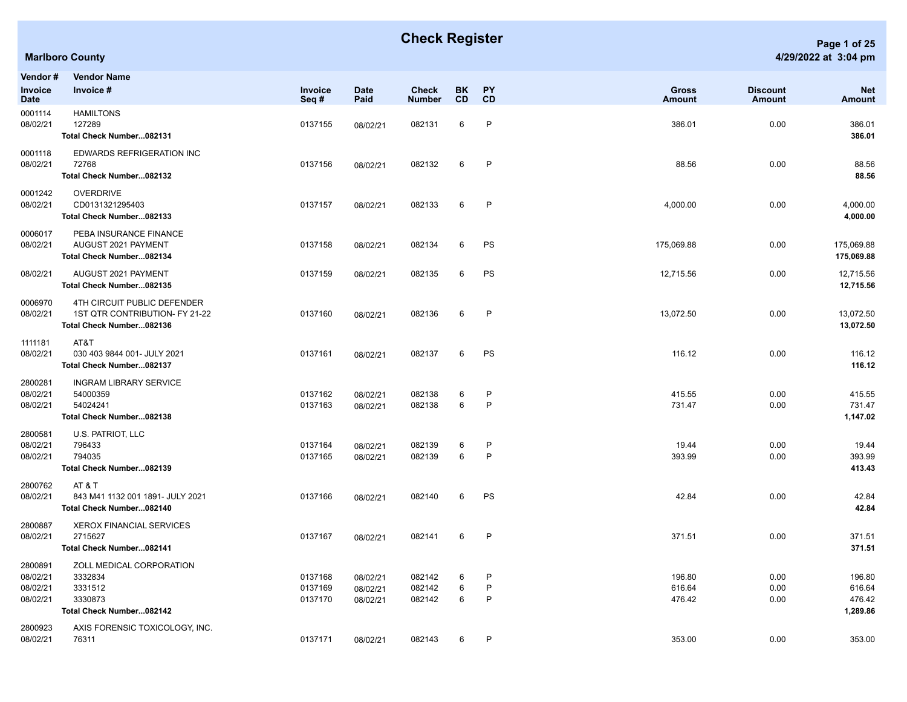## **Check Register Page 1 of 25**

| Vendor #                                    | <b>Vendor Name</b><br>Invoice #                                                           |                               |                                  |                            |             |                              |                               |                           |                                        |
|---------------------------------------------|-------------------------------------------------------------------------------------------|-------------------------------|----------------------------------|----------------------------|-------------|------------------------------|-------------------------------|---------------------------|----------------------------------------|
| Invoice<br>Date                             |                                                                                           | Invoice<br>Seq#               | <b>Date</b><br>Paid              | Check<br><b>Number</b>     | BK.<br>CD   | PΥ<br>CD                     | <b>Gross</b><br><b>Amount</b> | <b>Discount</b><br>Amount | <b>Net</b><br>Amount                   |
| 0001114<br>08/02/21                         | <b>HAMILTONS</b><br>127289<br>Total Check Number082131                                    | 0137155                       | 08/02/21                         | 082131                     | 6           | $\mathsf{P}$                 | 386.01                        | 0.00                      | 386.01<br>386.01                       |
| 0001118<br>08/02/21                         | EDWARDS REFRIGERATION INC<br>72768<br>Total Check Number082132                            | 0137156                       | 08/02/21                         | 082132                     | 6           | $\mathsf{P}$                 | 88.56                         | 0.00                      | 88.56<br>88.56                         |
| 0001242<br>08/02/21                         | OVERDRIVE<br>CD0131321295403<br>Total Check Number082133                                  | 0137157                       | 08/02/21                         | 082133                     | 6           | $\mathsf{P}$                 | 4,000.00                      | 0.00                      | 4,000.00<br>4,000.00                   |
| 0006017<br>08/02/21                         | PEBA INSURANCE FINANCE<br>AUGUST 2021 PAYMENT<br>Total Check Number082134                 | 0137158                       | 08/02/21                         | 082134                     | 6           | PS                           | 175,069.88                    | 0.00                      | 175,069.88<br>175,069.88               |
| 08/02/21                                    | AUGUST 2021 PAYMENT<br>Total Check Number082135                                           | 0137159                       | 08/02/21                         | 082135                     | 6           | PS                           | 12,715.56                     | 0.00                      | 12,715.56<br>12,715.56                 |
| 0006970<br>08/02/21                         | 4TH CIRCUIT PUBLIC DEFENDER<br>1ST QTR CONTRIBUTION- FY 21-22<br>Total Check Number082136 | 0137160                       | 08/02/21                         | 082136                     | 6           | $\mathsf{P}$                 | 13,072.50                     | 0.00                      | 13,072.50<br>13,072.50                 |
| 1111181<br>08/02/21                         | AT&T<br>030 403 9844 001- JULY 2021<br>Total Check Number082137                           | 0137161                       | 08/02/21                         | 082137                     | 6           | PS                           | 116.12                        | 0.00                      | 116.12<br>116.12                       |
| 2800281<br>08/02/21<br>08/02/21             | <b>INGRAM LIBRARY SERVICE</b><br>54000359<br>54024241<br>Total Check Number082138         | 0137162<br>0137163            | 08/02/21<br>08/02/21             | 082138<br>082138           | 6<br>6      | P<br>$\mathsf{P}$            | 415.55<br>731.47              | 0.00<br>0.00              | 415.55<br>731.47<br>1,147.02           |
| 2800581<br>08/02/21<br>08/02/21             | U.S. PATRIOT, LLC<br>796433<br>794035<br>Total Check Number082139                         | 0137164<br>0137165            | 08/02/21<br>08/02/21             | 082139<br>082139           | 6<br>6      | $\mathsf{P}$<br>$\mathsf{P}$ | 19.44<br>393.99               | 0.00<br>0.00              | 19.44<br>393.99<br>413.43              |
| 2800762<br>08/02/21                         | AT & T<br>843 M41 1132 001 1891- JULY 2021<br>Total Check Number082140                    | 0137166                       | 08/02/21                         | 082140                     | 6           | PS                           | 42.84                         | 0.00                      | 42.84<br>42.84                         |
| 2800887<br>08/02/21                         | <b>XEROX FINANCIAL SERVICES</b><br>2715627<br>Total Check Number082141                    | 0137167                       | 08/02/21                         | 082141                     | 6           | $\mathsf{P}$                 | 371.51                        | 0.00                      | 371.51<br>371.51                       |
| 2800891<br>08/02/21<br>08/02/21<br>08/02/21 | ZOLL MEDICAL CORPORATION<br>3332834<br>3331512<br>3330873<br>Total Check Number082142     | 0137168<br>0137169<br>0137170 | 08/02/21<br>08/02/21<br>08/02/21 | 082142<br>082142<br>082142 | 6<br>6<br>6 | P<br>P<br>$\mathsf{P}$       | 196.80<br>616.64<br>476.42    | 0.00<br>0.00<br>0.00      | 196.80<br>616.64<br>476.42<br>1,289.86 |
| 2800923<br>08/02/21                         | AXIS FORENSIC TOXICOLOGY, INC.<br>76311                                                   | 0137171                       | 08/02/21                         | 082143                     | 6           | P                            | 353.00                        | 0.00                      | 353.00                                 |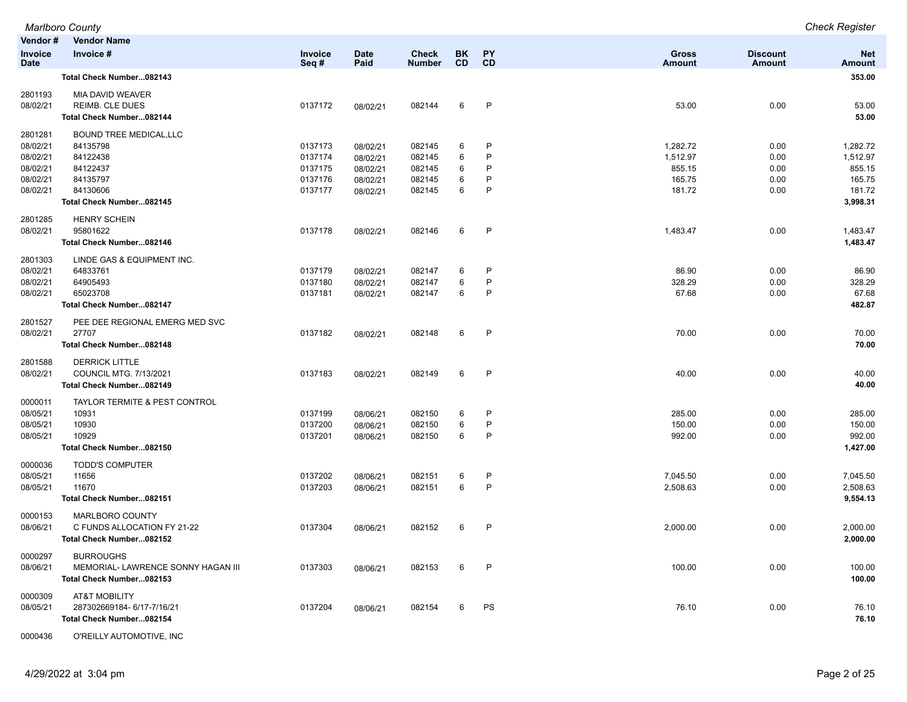|                               | <b>Marlboro County</b>             |                 |                     |                               |                 |              |                        |                           | <b>Check Register</b>       |
|-------------------------------|------------------------------------|-----------------|---------------------|-------------------------------|-----------------|--------------|------------------------|---------------------------|-----------------------------|
| Vendor#                       | <b>Vendor Name</b>                 |                 |                     |                               |                 |              |                        |                           |                             |
| <b>Invoice</b><br><b>Date</b> | Invoice #                          | Invoice<br>Seq# | <b>Date</b><br>Paid | <b>Check</b><br><b>Number</b> | BK<br><b>CD</b> | PY<br>CD     | <b>Gross</b><br>Amount | <b>Discount</b><br>Amount | <b>Net</b><br><b>Amount</b> |
|                               | Total Check Number082143           |                 |                     |                               |                 |              |                        |                           | 353.00                      |
| 2801193                       | MIA DAVID WEAVER                   |                 |                     |                               |                 |              |                        |                           |                             |
| 08/02/21                      | REIMB. CLE DUES                    | 0137172         | 08/02/21            | 082144                        | 6               | P            | 53.00                  | 0.00                      | 53.00                       |
|                               | Total Check Number082144           |                 |                     |                               |                 |              |                        |                           | 53.00                       |
| 2801281                       | <b>BOUND TREE MEDICAL, LLC</b>     |                 |                     |                               |                 |              |                        |                           |                             |
| 08/02/21                      | 84135798                           | 0137173         | 08/02/21            | 082145                        | 6               | P            | 1,282.72               | 0.00                      | 1,282.72                    |
| 08/02/21                      | 84122438                           | 0137174         | 08/02/21            | 082145                        | 6               | P            | 1,512.97               | 0.00                      | 1,512.97                    |
| 08/02/21                      | 84122437                           | 0137175         | 08/02/21            | 082145                        | 6               | P            | 855.15                 | 0.00                      | 855.15                      |
| 08/02/21                      | 84135797                           | 0137176         | 08/02/21            | 082145                        | 6               | P            | 165.75                 | 0.00                      | 165.75                      |
| 08/02/21                      | 84130606                           | 0137177         | 08/02/21            | 082145                        | 6               | P            | 181.72                 | 0.00                      | 181.72                      |
|                               | Total Check Number082145           |                 |                     |                               |                 |              |                        |                           | 3,998.31                    |
| 2801285                       | <b>HENRY SCHEIN</b>                |                 |                     |                               |                 |              |                        |                           |                             |
| 08/02/21                      | 95801622                           | 0137178         | 08/02/21            | 082146                        | 6               | P            | 1,483.47               | 0.00                      | 1,483.47                    |
|                               | Total Check Number082146           |                 |                     |                               |                 |              |                        |                           | 1,483.47                    |
| 2801303                       | LINDE GAS & EQUIPMENT INC.         |                 |                     |                               |                 |              |                        |                           |                             |
| 08/02/21                      | 64833761                           | 0137179         | 08/02/21            | 082147                        | 6               | P            | 86.90                  | 0.00                      | 86.90                       |
| 08/02/21                      | 64905493                           | 0137180         | 08/02/21            | 082147                        | 6               | P            | 328.29                 | 0.00                      | 328.29                      |
| 08/02/21                      | 65023708                           | 0137181         | 08/02/21            | 082147                        | 6               | P            | 67.68                  | 0.00                      | 67.68                       |
|                               | Total Check Number082147           |                 |                     |                               |                 |              |                        |                           | 482.87                      |
| 2801527                       | PEE DEE REGIONAL EMERG MED SVC     |                 |                     |                               |                 |              |                        |                           |                             |
| 08/02/21                      | 27707                              | 0137182         | 08/02/21            | 082148                        | 6               | $\mathsf{P}$ | 70.00                  | 0.00                      | 70.00                       |
|                               | Total Check Number082148           |                 |                     |                               |                 |              |                        |                           | 70.00                       |
| 2801588                       | <b>DERRICK LITTLE</b>              |                 |                     |                               |                 |              |                        |                           |                             |
| 08/02/21                      | <b>COUNCIL MTG. 7/13/2021</b>      | 0137183         | 08/02/21            | 082149                        | 6               | P            | 40.00                  | 0.00                      | 40.00                       |
|                               | Total Check Number082149           |                 |                     |                               |                 |              |                        |                           | 40.00                       |
| 0000011                       | TAYLOR TERMITE & PEST CONTROL      |                 |                     |                               |                 |              |                        |                           |                             |
| 08/05/21                      | 10931                              | 0137199         | 08/06/21            | 082150                        | 6               | P            | 285.00                 | 0.00                      | 285.00                      |
| 08/05/21                      | 10930                              | 0137200         | 08/06/21            | 082150                        | 6               | $\mathsf{P}$ | 150.00                 | 0.00                      | 150.00                      |
| 08/05/21                      | 10929                              | 0137201         | 08/06/21            | 082150                        | 6               | $\mathsf{P}$ | 992.00                 | 0.00                      | 992.00                      |
|                               | Total Check Number082150           |                 |                     |                               |                 |              |                        |                           | 1,427.00                    |
| 0000036                       | <b>TODD'S COMPUTER</b>             |                 |                     |                               |                 |              |                        |                           |                             |
| 08/05/21                      | 11656                              | 0137202         | 08/06/21            | 082151                        | 6               | P            | 7,045.50               | 0.00                      | 7,045.50                    |
| 08/05/21                      | 11670                              | 0137203         | 08/06/21            | 082151                        | 6               | $\mathsf{P}$ | 2,508.63               | 0.00                      | 2,508.63                    |
|                               | Total Check Number082151           |                 |                     |                               |                 |              |                        |                           | 9,554.13                    |
| 0000153                       | MARLBORO COUNTY                    |                 |                     |                               |                 |              |                        |                           |                             |
| 08/06/21                      | C FUNDS ALLOCATION FY 21-22        | 0137304         | 08/06/21            | 082152                        | 6               | P            | 2,000.00               | 0.00                      | 2,000.00                    |
|                               | Total Check Number082152           |                 |                     |                               |                 |              |                        |                           | 2,000.00                    |
| 0000297                       | <b>BURROUGHS</b>                   |                 |                     |                               |                 |              |                        |                           |                             |
| 08/06/21                      | MEMORIAL- LAWRENCE SONNY HAGAN III | 0137303         | 08/06/21            | 082153                        | 6               | $\mathsf{P}$ | 100.00                 | 0.00                      | 100.00                      |
|                               | Total Check Number082153           |                 |                     |                               |                 |              |                        |                           | 100.00                      |
| 0000309                       | AT&T MOBILITY                      |                 |                     |                               |                 |              |                        |                           |                             |
| 08/05/21                      | 287302669184-6/17-7/16/21          | 0137204         | 08/06/21            | 082154                        | 6               | PS           | 76.10                  | 0.00                      | 76.10                       |
|                               | Total Check Number082154           |                 |                     |                               |                 |              |                        |                           | 76.10                       |
|                               |                                    |                 |                     |                               |                 |              |                        |                           |                             |

0000436 O'REILLY AUTOMOTIVE, INC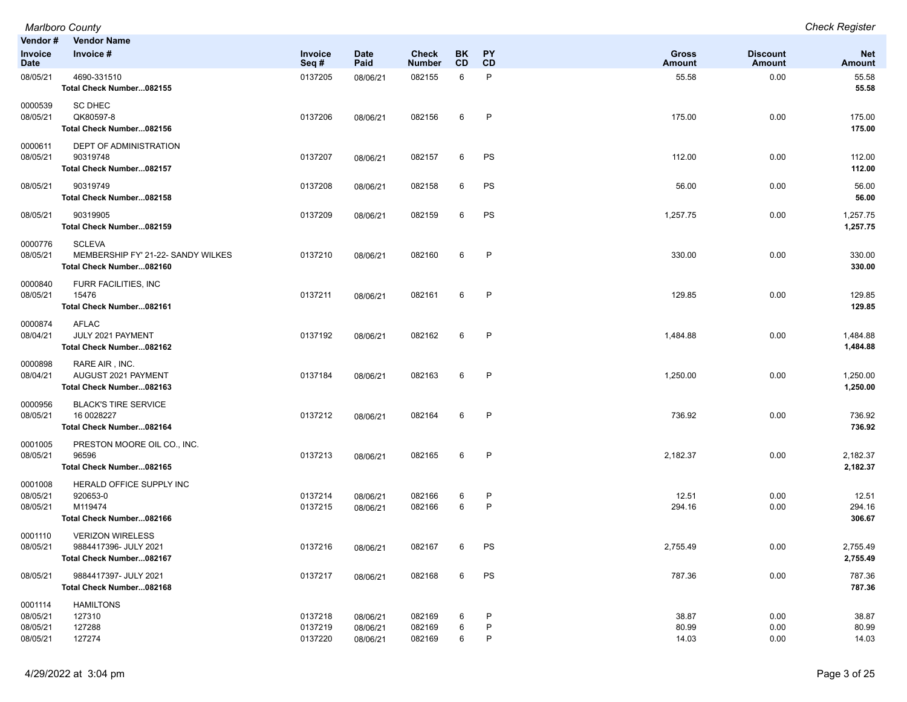|                                             | <b>Marlboro County</b>                                                          |                               |                                  |                               |                 |             |                         |                           | <b>Check Register</b>       |
|---------------------------------------------|---------------------------------------------------------------------------------|-------------------------------|----------------------------------|-------------------------------|-----------------|-------------|-------------------------|---------------------------|-----------------------------|
| Vendor#                                     | <b>Vendor Name</b>                                                              |                               |                                  |                               |                 |             |                         |                           |                             |
| Invoice<br><b>Date</b>                      | Invoice #                                                                       | Invoice<br>Seq#               | <b>Date</b><br>Paid              | <b>Check</b><br><b>Number</b> | BK<br><b>CD</b> | PY<br>CD    | <b>Gross</b><br>Amount  | <b>Discount</b><br>Amount | <b>Net</b><br><b>Amount</b> |
| 08/05/21                                    | 4690-331510<br>Total Check Number082155                                         | 0137205                       | 08/06/21                         | 082155                        | 6               | P           | 55.58                   | 0.00                      | 55.58<br>55.58              |
| 0000539<br>08/05/21                         | <b>SC DHEC</b><br>QK80597-8<br>Total Check Number082156                         | 0137206                       | 08/06/21                         | 082156                        | 6               | P           | 175.00                  | 0.00                      | 175.00<br>175.00            |
| 0000611<br>08/05/21                         | DEPT OF ADMINISTRATION<br>90319748<br>Total Check Number082157                  | 0137207                       | 08/06/21                         | 082157                        | 6               | PS          | 112.00                  | 0.00                      | 112.00<br>112.00            |
| 08/05/21                                    | 90319749<br>Total Check Number082158                                            | 0137208                       | 08/06/21                         | 082158                        | 6               | PS          | 56.00                   | 0.00                      | 56.00<br>56.00              |
| 08/05/21                                    | 90319905<br>Total Check Number082159                                            | 0137209                       | 08/06/21                         | 082159                        | 6               | PS          | 1,257.75                | 0.00                      | 1,257.75<br>1,257.75        |
| 0000776<br>08/05/21                         | <b>SCLEVA</b><br>MEMBERSHIP FY' 21-22- SANDY WILKES<br>Total Check Number082160 | 0137210                       | 08/06/21                         | 082160                        | 6               | P           | 330.00                  | 0.00                      | 330.00<br>330.00            |
| 0000840<br>08/05/21                         | FURR FACILITIES, INC<br>15476<br>Total Check Number082161                       | 0137211                       | 08/06/21                         | 082161                        | 6               | P           | 129.85                  | 0.00                      | 129.85<br>129.85            |
| 0000874<br>08/04/21                         | <b>AFLAC</b><br>JULY 2021 PAYMENT<br>Total Check Number082162                   | 0137192                       | 08/06/21                         | 082162                        | 6               | P           | 1,484.88                | 0.00                      | 1,484.88<br>1,484.88        |
| 0000898<br>08/04/21                         | RARE AIR, INC.<br>AUGUST 2021 PAYMENT<br>Total Check Number082163               | 0137184                       | 08/06/21                         | 082163                        | 6               | P           | 1,250.00                | 0.00                      | 1,250.00<br>1,250.00        |
| 0000956<br>08/05/21                         | <b>BLACK'S TIRE SERVICE</b><br>16 0028227<br>Total Check Number082164           | 0137212                       | 08/06/21                         | 082164                        | 6               | P           | 736.92                  | 0.00                      | 736.92<br>736.92            |
| 0001005<br>08/05/21                         | PRESTON MOORE OIL CO., INC.<br>96596<br>Total Check Number082165                | 0137213                       | 08/06/21                         | 082165                        | 6               | P           | 2,182.37                | 0.00                      | 2,182.37<br>2,182.37        |
| 0001008<br>08/05/21<br>08/05/21             | HERALD OFFICE SUPPLY INC<br>920653-0<br>M119474<br>Total Check Number082166     | 0137214<br>0137215            | 08/06/21<br>08/06/21             | 082166<br>082166              | 6<br>6          | P<br>P      | 12.51<br>294.16         | 0.00<br>0.00              | 12.51<br>294.16<br>306.67   |
| 0001110<br>08/05/21                         | <b>VERIZON WIRELESS</b><br>9884417396- JULY 2021<br>Total Check Number082167    | 0137216                       | 08/06/21                         | 082167                        | 6               | PS          | 2,755.49                | 0.00                      | 2,755.49<br>2,755.49        |
| 08/05/21                                    | 9884417397- JULY 2021<br>Total Check Number082168                               | 0137217                       | 08/06/21                         | 082168                        | 6               | PS          | 787.36                  | 0.00                      | 787.36<br>787.36            |
| 0001114<br>08/05/21<br>08/05/21<br>08/05/21 | <b>HAMILTONS</b><br>127310<br>127288<br>127274                                  | 0137218<br>0137219<br>0137220 | 08/06/21<br>08/06/21<br>08/06/21 | 082169<br>082169<br>082169    | 6<br>6<br>6     | P<br>P<br>P | 38.87<br>80.99<br>14.03 | 0.00<br>0.00<br>0.00      | 38.87<br>80.99<br>14.03     |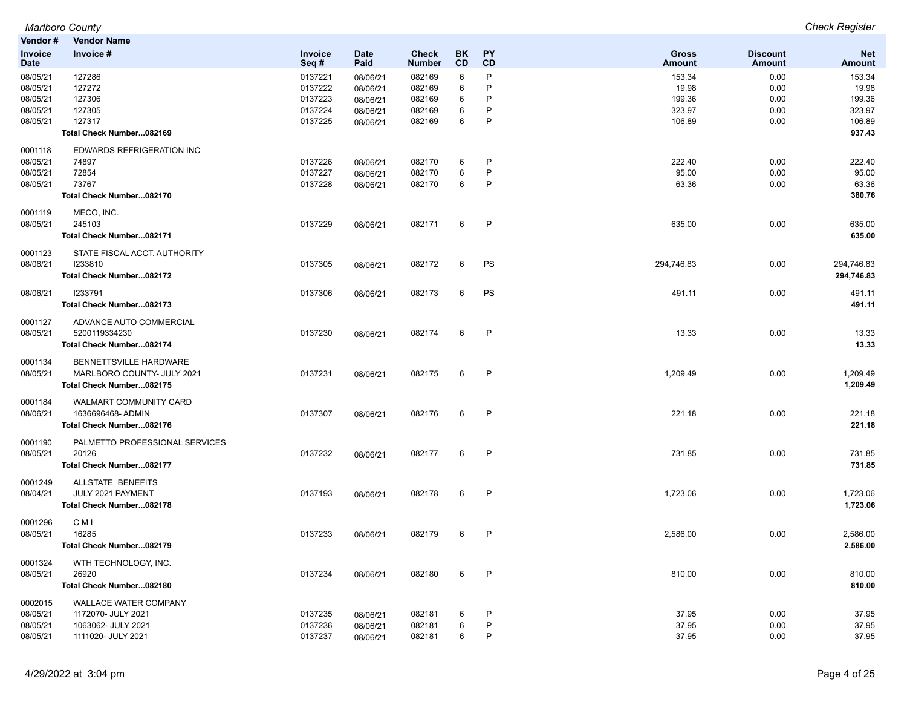| Vendor#                                                  | Vendor Name                                                                                    |                                                     |                                                          |                                                |                       |                        |                                               |                                      |                                               |
|----------------------------------------------------------|------------------------------------------------------------------------------------------------|-----------------------------------------------------|----------------------------------------------------------|------------------------------------------------|-----------------------|------------------------|-----------------------------------------------|--------------------------------------|-----------------------------------------------|
| Invoice<br><b>Date</b>                                   | Invoice #                                                                                      | Invoice<br>Seq#                                     | <b>Date</b><br>Paid                                      | <b>Check</b><br><b>Number</b>                  | BK<br>CD              | <b>PY</b><br>CD        | <b>Gross</b><br>Amount                        | <b>Discount</b><br>Amount            | <b>Net</b><br><b>Amount</b>                   |
| 08/05/21<br>08/05/21<br>08/05/21<br>08/05/21<br>08/05/21 | 127286<br>127272<br>127306<br>127305<br>127317                                                 | 0137221<br>0137222<br>0137223<br>0137224<br>0137225 | 08/06/21<br>08/06/21<br>08/06/21<br>08/06/21<br>08/06/21 | 082169<br>082169<br>082169<br>082169<br>082169 | 6<br>6<br>6<br>6<br>6 | P<br>P<br>P<br>P<br>P  | 153.34<br>19.98<br>199.36<br>323.97<br>106.89 | 0.00<br>0.00<br>0.00<br>0.00<br>0.00 | 153.34<br>19.98<br>199.36<br>323.97<br>106.89 |
|                                                          | Total Check Number082169                                                                       |                                                     |                                                          |                                                |                       |                        |                                               |                                      | 937.43                                        |
| 0001118<br>08/05/21<br>08/05/21<br>08/05/21              | EDWARDS REFRIGERATION INC<br>74897<br>72854<br>73767<br>Total Check Number082170               | 0137226<br>0137227<br>0137228                       | 08/06/21<br>08/06/21<br>08/06/21                         | 082170<br>082170<br>082170                     | 6<br>6<br>6           | P<br>P<br>P            | 222.40<br>95.00<br>63.36                      | 0.00<br>0.00<br>0.00                 | 222.40<br>95.00<br>63.36<br>380.76            |
| 0001119<br>08/05/21                                      | MECO, INC.<br>245103<br>Total Check Number082171                                               | 0137229                                             | 08/06/21                                                 | 082171                                         | 6                     | $\mathsf{P}$           | 635.00                                        | 0.00                                 | 635.00<br>635.00                              |
| 0001123<br>08/06/21                                      | STATE FISCAL ACCT. AUTHORITY<br>1233810<br>Total Check Number082172                            | 0137305                                             | 08/06/21                                                 | 082172                                         | 6                     | PS                     | 294,746.83                                    | 0.00                                 | 294,746.83<br>294,746.83                      |
| 08/06/21                                                 | 1233791<br>Total Check Number082173                                                            | 0137306                                             | 08/06/21                                                 | 082173                                         | 6                     | PS                     | 491.11                                        | 0.00                                 | 491.11<br>491.11                              |
| 0001127<br>08/05/21                                      | ADVANCE AUTO COMMERCIAL<br>5200119334230<br>Total Check Number082174                           | 0137230                                             | 08/06/21                                                 | 082174                                         | 6                     | P                      | 13.33                                         | 0.00                                 | 13.33<br>13.33                                |
| 0001134<br>08/05/21                                      | BENNETTSVILLE HARDWARE<br>MARLBORO COUNTY- JULY 2021<br>Total Check Number082175               | 0137231                                             | 08/06/21                                                 | 082175                                         | 6                     | P                      | 1,209.49                                      | 0.00                                 | 1,209.49<br>1,209.49                          |
| 0001184<br>08/06/21                                      | <b>WALMART COMMUNITY CARD</b><br>1636696468-ADMIN<br>Total Check Number082176                  | 0137307                                             | 08/06/21                                                 | 082176                                         | 6                     | P                      | 221.18                                        | 0.00                                 | 221.18<br>221.18                              |
| 0001190<br>08/05/21                                      | PALMETTO PROFESSIONAL SERVICES<br>20126<br>Total Check Number082177                            | 0137232                                             | 08/06/21                                                 | 082177                                         | 6                     | P                      | 731.85                                        | 0.00                                 | 731.85<br>731.85                              |
| 0001249<br>08/04/21                                      | ALLSTATE BENEFITS<br>JULY 2021 PAYMENT<br>Total Check Number082178                             | 0137193                                             | 08/06/21                                                 | 082178                                         | 6                     | $\mathsf{P}$           | 1,723.06                                      | 0.00                                 | 1,723.06<br>1,723.06                          |
| 0001296<br>08/05/21                                      | C M I<br>16285<br>Total Check Number082179                                                     | 0137233                                             | 08/06/21                                                 | 082179                                         | 6                     | P                      | 2,586.00                                      | 0.00                                 | 2,586.00<br>2,586.00                          |
| 0001324<br>08/05/21                                      | WTH TECHNOLOGY, INC.<br>26920<br>Total Check Number082180                                      | 0137234                                             | 08/06/21                                                 | 082180                                         | 6                     | P                      | 810.00                                        | 0.00                                 | 810.00<br>810.00                              |
| 0002015<br>08/05/21<br>08/05/21<br>08/05/21              | <b>WALLACE WATER COMPANY</b><br>1172070- JULY 2021<br>1063062- JULY 2021<br>1111020- JULY 2021 | 0137235<br>0137236<br>0137237                       | 08/06/21<br>08/06/21<br>08/06/21                         | 082181<br>082181<br>082181                     | 6<br>6<br>6           | P<br>$\mathsf{P}$<br>P | 37.95<br>37.95<br>37.95                       | 0.00<br>0.00<br>0.00                 | 37.95<br>37.95<br>37.95                       |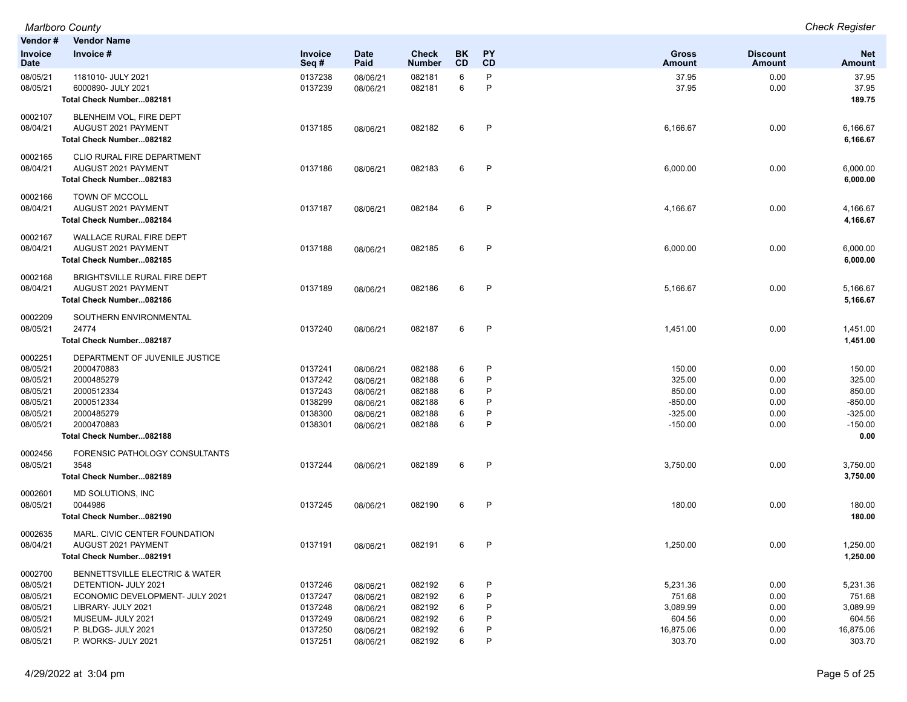| Vendor#                       | <b>Vendor Name</b>                                      |                    |                      |                        |          |                   |                        |                           |                        |
|-------------------------------|---------------------------------------------------------|--------------------|----------------------|------------------------|----------|-------------------|------------------------|---------------------------|------------------------|
| <b>Invoice</b><br><b>Date</b> | Invoice #                                               | Invoice<br>Seq#    | <b>Date</b><br>Paid  | Check<br><b>Number</b> | BK<br>CD | PY<br>CD          | Gross<br>Amount        | <b>Discount</b><br>Amount | <b>Net</b><br>Amount   |
| 08/05/21                      | 1181010- JULY 2021                                      | 0137238            | 08/06/21             | 082181                 | 6        | P                 | 37.95                  | 0.00                      | 37.95                  |
| 08/05/21                      | 6000890- JULY 2021                                      | 0137239            | 08/06/21             | 082181                 | 6        | P                 | 37.95                  | 0.00                      | 37.95                  |
|                               | Total Check Number082181                                |                    |                      |                        |          |                   |                        |                           | 189.75                 |
| 0002107                       | BLENHEIM VOL, FIRE DEPT                                 |                    |                      |                        |          |                   |                        |                           |                        |
| 08/04/21                      | AUGUST 2021 PAYMENT                                     | 0137185            | 08/06/21             | 082182                 | 6        | $\mathsf{P}$      | 6,166.67               | 0.00                      | 6,166.67               |
|                               | Total Check Number082182                                |                    |                      |                        |          |                   |                        |                           | 6,166.67               |
| 0002165                       | CLIO RURAL FIRE DEPARTMENT                              |                    |                      |                        |          |                   |                        |                           |                        |
| 08/04/21                      | AUGUST 2021 PAYMENT                                     | 0137186            | 08/06/21             | 082183                 | 6        | P                 | 6,000.00               | 0.00                      | 6,000.00               |
|                               | Total Check Number082183                                |                    |                      |                        |          |                   |                        |                           | 6,000.00               |
| 0002166                       | <b>TOWN OF MCCOLL</b>                                   |                    |                      |                        |          |                   |                        |                           |                        |
| 08/04/21                      | AUGUST 2021 PAYMENT                                     | 0137187            | 08/06/21             | 082184                 | 6        | $\mathsf{P}$      | 4,166.67               | 0.00                      | 4,166.67               |
|                               | Total Check Number082184                                |                    |                      |                        |          |                   |                        |                           | 4,166.67               |
| 0002167                       | <b>WALLACE RURAL FIRE DEPT</b>                          |                    |                      |                        |          |                   |                        |                           |                        |
| 08/04/21                      | AUGUST 2021 PAYMENT                                     | 0137188            | 08/06/21             | 082185                 | 6        | P                 | 6,000.00               | 0.00                      | 6,000.00               |
|                               | Total Check Number082185                                |                    |                      |                        |          |                   |                        |                           | 6,000.00               |
| 0002168                       | BRIGHTSVILLE RURAL FIRE DEPT                            |                    |                      |                        |          |                   |                        |                           |                        |
| 08/04/21                      | AUGUST 2021 PAYMENT                                     | 0137189            | 08/06/21             | 082186                 | 6        | P                 | 5,166.67               | 0.00                      | 5,166.67               |
|                               | Total Check Number082186                                |                    |                      |                        |          |                   |                        |                           | 5,166.67               |
| 0002209                       | SOUTHERN ENVIRONMENTAL                                  |                    |                      |                        |          |                   |                        |                           |                        |
| 08/05/21                      | 24774                                                   | 0137240            | 08/06/21             | 082187                 | 6        | $\mathsf{P}$      | 1,451.00               | 0.00                      | 1,451.00               |
|                               | Total Check Number082187                                |                    |                      |                        |          |                   |                        |                           | 1,451.00               |
| 0002251                       | DEPARTMENT OF JUVENILE JUSTICE                          |                    |                      |                        |          |                   |                        |                           |                        |
| 08/05/21                      | 2000470883                                              | 0137241            | 08/06/21             | 082188                 | 6        | P                 | 150.00                 | 0.00                      | 150.00                 |
| 08/05/21                      | 2000485279                                              | 0137242            | 08/06/21             | 082188                 | 6        | P                 | 325.00                 | 0.00                      | 325.00                 |
| 08/05/21                      | 2000512334                                              | 0137243            | 08/06/21             | 082188                 | 6        | P                 | 850.00                 | 0.00                      | 850.00                 |
| 08/05/21                      | 2000512334                                              | 0138299            | 08/06/21             | 082188                 | 6        | P<br>P            | $-850.00$              | 0.00                      | $-850.00$              |
| 08/05/21<br>08/05/21          | 2000485279<br>2000470883                                | 0138300<br>0138301 | 08/06/21             | 082188<br>082188       | 6<br>6   | P                 | $-325.00$<br>$-150.00$ | 0.00<br>0.00              | $-325.00$<br>$-150.00$ |
|                               | Total Check Number082188                                |                    | 08/06/21             |                        |          |                   |                        |                           | 0.00                   |
|                               |                                                         |                    |                      |                        |          |                   |                        |                           |                        |
| 0002456<br>08/05/21           | FORENSIC PATHOLOGY CONSULTANTS<br>3548                  | 0137244            |                      | 082189                 | 6        | $\mathsf{P}$      | 3,750.00               | 0.00                      | 3,750.00               |
|                               | Total Check Number082189                                |                    | 08/06/21             |                        |          |                   |                        |                           | 3,750.00               |
|                               |                                                         |                    |                      |                        |          |                   |                        |                           |                        |
| 0002601                       | MD SOLUTIONS, INC                                       |                    |                      |                        |          |                   |                        |                           |                        |
| 08/05/21                      | 0044986                                                 | 0137245            | 08/06/21             | 082190                 | 6        | P                 | 180.00                 | 0.00                      | 180.00                 |
|                               | Total Check Number082190                                |                    |                      |                        |          |                   |                        |                           | 180.00                 |
| 0002635                       | MARL. CIVIC CENTER FOUNDATION                           | 0137191            |                      |                        |          |                   |                        |                           |                        |
| 08/04/21                      | AUGUST 2021 PAYMENT                                     |                    | 08/06/21             | 082191                 | 6        | P                 | 1,250.00               | 0.00                      | 1,250.00               |
|                               | Total Check Number082191                                |                    |                      |                        |          |                   |                        |                           | 1,250.00               |
| 0002700                       | BENNETTSVILLE ELECTRIC & WATER                          |                    |                      |                        |          |                   |                        |                           |                        |
| 08/05/21<br>08/05/21          | DETENTION- JULY 2021<br>ECONOMIC DEVELOPMENT- JULY 2021 | 0137246<br>0137247 | 08/06/21             | 082192<br>082192       | 6<br>6   | $\mathsf{P}$<br>P | 5,231.36<br>751.68     | 0.00<br>0.00              | 5,231.36<br>751.68     |
| 08/05/21                      | LIBRARY- JULY 2021                                      | 0137248            | 08/06/21<br>08/06/21 | 082192                 | 6        | P                 | 3,089.99               | 0.00                      | 3,089.99               |
| 08/05/21                      | MUSEUM- JULY 2021                                       | 0137249            | 08/06/21             | 082192                 | 6        | P                 | 604.56                 | 0.00                      | 604.56                 |
| 08/05/21                      | P. BLDGS- JULY 2021                                     | 0137250            | 08/06/21             | 082192                 | 6        | P                 | 16,875.06              | 0.00                      | 16,875.06              |
| 08/05/21                      | P. WORKS- JULY 2021                                     | 0137251            | 08/06/21             | 082192                 | 6        | P                 | 303.70                 | 0.00                      | 303.70                 |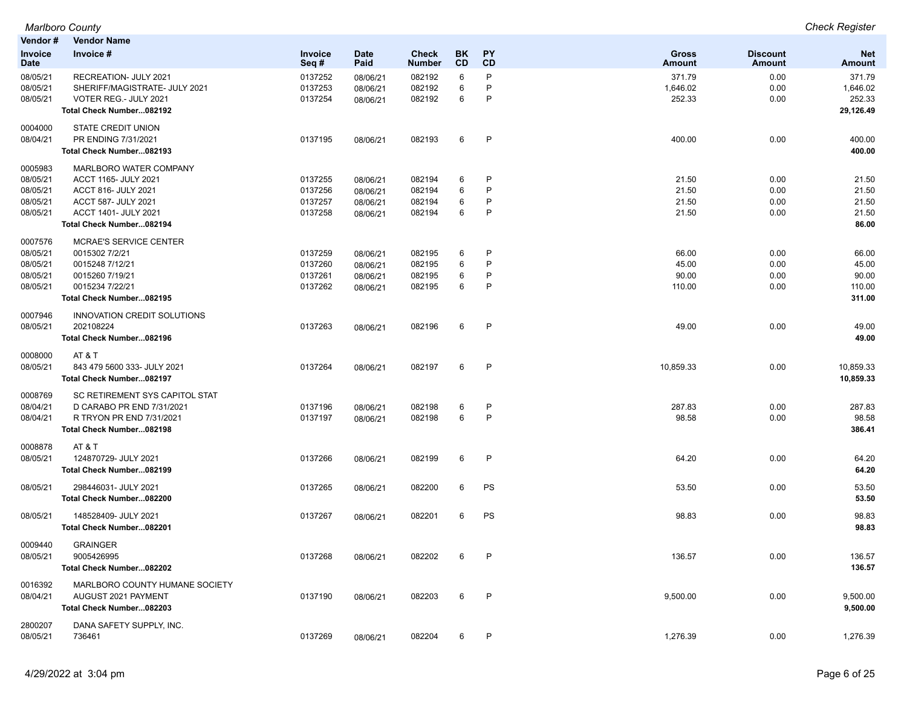| Vendor#                | <b>Vendor Name</b>             |                 |                     |                               |                 |                        |                               |                                  |                      |
|------------------------|--------------------------------|-----------------|---------------------|-------------------------------|-----------------|------------------------|-------------------------------|----------------------------------|----------------------|
| Invoice<br><b>Date</b> | Invoice #                      | Invoice<br>Seq# | <b>Date</b><br>Paid | <b>Check</b><br><b>Number</b> | BK<br><b>CD</b> | <b>PY</b><br><b>CD</b> | <b>Gross</b><br><b>Amount</b> | <b>Discount</b><br><b>Amount</b> | <b>Net</b><br>Amount |
| 08/05/21               | RECREATION- JULY 2021          | 0137252         | 08/06/21            | 082192                        | 6               | P                      | 371.79                        | 0.00                             | 371.79               |
| 08/05/21               | SHERIFF/MAGISTRATE- JULY 2021  | 0137253         | 08/06/21            | 082192                        | 6               | P                      | 1,646.02                      | 0.00                             | 1,646.02             |
| 08/05/21               | VOTER REG.- JULY 2021          | 0137254         | 08/06/21            | 082192                        | 6               | P                      | 252.33                        | 0.00                             | 252.33               |
|                        | Total Check Number082192       |                 |                     |                               |                 |                        |                               |                                  | 29,126.49            |
| 0004000                | <b>STATE CREDIT UNION</b>      |                 |                     |                               |                 |                        |                               |                                  |                      |
| 08/04/21               | PR ENDING 7/31/2021            | 0137195         | 08/06/21            | 082193                        | 6               | P                      | 400.00                        | 0.00                             | 400.00               |
|                        | Total Check Number082193       |                 |                     |                               |                 |                        |                               |                                  | 400.00               |
| 0005983                | MARLBORO WATER COMPANY         |                 |                     |                               |                 |                        |                               |                                  |                      |
| 08/05/21               | ACCT 1165- JULY 2021           | 0137255         | 08/06/21            | 082194                        | 6               | P                      | 21.50                         | 0.00                             | 21.50                |
| 08/05/21               | ACCT 816- JULY 2021            | 0137256         | 08/06/21            | 082194                        | 6               | P                      | 21.50                         | 0.00                             | 21.50                |
| 08/05/21               | ACCT 587- JULY 2021            | 0137257         | 08/06/21            | 082194                        | 6               | P                      | 21.50                         | 0.00                             | 21.50                |
| 08/05/21               | ACCT 1401- JULY 2021           | 0137258         | 08/06/21            | 082194                        | 6               | P                      | 21.50                         | 0.00                             | 21.50                |
|                        | Total Check Number082194       |                 |                     |                               |                 |                        |                               |                                  | 86.00                |
| 0007576                | <b>MCRAE'S SERVICE CENTER</b>  |                 |                     |                               |                 |                        |                               |                                  |                      |
| 08/05/21               | 0015302 7/2/21                 | 0137259         | 08/06/21            | 082195                        | 6               | P                      | 66.00                         | 0.00                             | 66.00                |
| 08/05/21               | 0015248 7/12/21                | 0137260         | 08/06/21            | 082195                        | 6               | P                      | 45.00                         | 0.00                             | 45.00                |
| 08/05/21               | 0015260 7/19/21                | 0137261         | 08/06/21            | 082195                        | 6               | P                      | 90.00                         | 0.00                             | 90.00                |
| 08/05/21               | 0015234 7/22/21                | 0137262         | 08/06/21            | 082195                        | 6               | P                      | 110.00                        | 0.00                             | 110.00               |
|                        | Total Check Number082195       |                 |                     |                               |                 |                        |                               |                                  | 311.00               |
| 0007946                | INNOVATION CREDIT SOLUTIONS    |                 |                     |                               |                 |                        |                               |                                  |                      |
| 08/05/21               | 202108224                      | 0137263         | 08/06/21            | 082196                        | 6               | P                      | 49.00                         | 0.00                             | 49.00                |
|                        | Total Check Number082196       |                 |                     |                               |                 |                        |                               |                                  | 49.00                |
| 0008000                | AT&T                           |                 |                     |                               |                 |                        |                               |                                  |                      |
| 08/05/21               | 843 479 5600 333- JULY 2021    | 0137264         | 08/06/21            | 082197                        | 6               | P                      | 10,859.33                     | 0.00                             | 10,859.33            |
|                        | Total Check Number082197       |                 |                     |                               |                 |                        |                               |                                  | 10,859.33            |
| 0008769                | SC RETIREMENT SYS CAPITOL STAT |                 |                     |                               |                 |                        |                               |                                  |                      |
| 08/04/21               | D CARABO PR END 7/31/2021      | 0137196         | 08/06/21            | 082198                        | 6               | P                      | 287.83                        | 0.00                             | 287.83               |
| 08/04/21               | R TRYON PR END 7/31/2021       | 0137197         | 08/06/21            | 082198                        | 6               | P                      | 98.58                         | 0.00                             | 98.58                |
|                        | Total Check Number082198       |                 |                     |                               |                 |                        |                               |                                  | 386.41               |
| 0008878                | AT&T                           |                 |                     |                               |                 |                        |                               |                                  |                      |
| 08/05/21               | 124870729- JULY 2021           | 0137266         | 08/06/21            | 082199                        | 6               | P                      | 64.20                         | 0.00                             | 64.20                |
|                        | Total Check Number082199       |                 |                     |                               |                 |                        |                               |                                  | 64.20                |
| 08/05/21               | 298446031- JULY 2021           | 0137265         | 08/06/21            | 082200                        | 6               | PS                     | 53.50                         | 0.00                             | 53.50                |
|                        | Total Check Number082200       |                 |                     |                               |                 |                        |                               |                                  | 53.50                |
| 08/05/21               | 148528409- JULY 2021           | 0137267         | 08/06/21            | 082201                        | 6               | PS                     | 98.83                         | 0.00                             | 98.83                |
|                        | Total Check Number082201       |                 |                     |                               |                 |                        |                               |                                  | 98.83                |
| 0009440                | <b>GRAINGER</b>                |                 |                     |                               |                 |                        |                               |                                  |                      |
| 08/05/21               | 9005426995                     | 0137268         | 08/06/21            | 082202                        | 6               | P                      | 136.57                        | 0.00                             | 136.57               |
|                        | Total Check Number082202       |                 |                     |                               |                 |                        |                               |                                  | 136.57               |
| 0016392                | MARLBORO COUNTY HUMANE SOCIETY |                 |                     |                               |                 |                        |                               |                                  |                      |
| 08/04/21               | AUGUST 2021 PAYMENT            | 0137190         | 08/06/21            | 082203                        | 6               | P                      | 9,500.00                      | 0.00                             | 9,500.00             |
|                        | Total Check Number082203       |                 |                     |                               |                 |                        |                               |                                  | 9,500.00             |
| 2800207                | DANA SAFETY SUPPLY, INC.       |                 |                     |                               |                 |                        |                               |                                  |                      |
| 08/05/21               | 736461                         | 0137269         | 08/06/21            | 082204                        | 6               | P                      | 1,276.39                      | 0.00                             | 1,276.39             |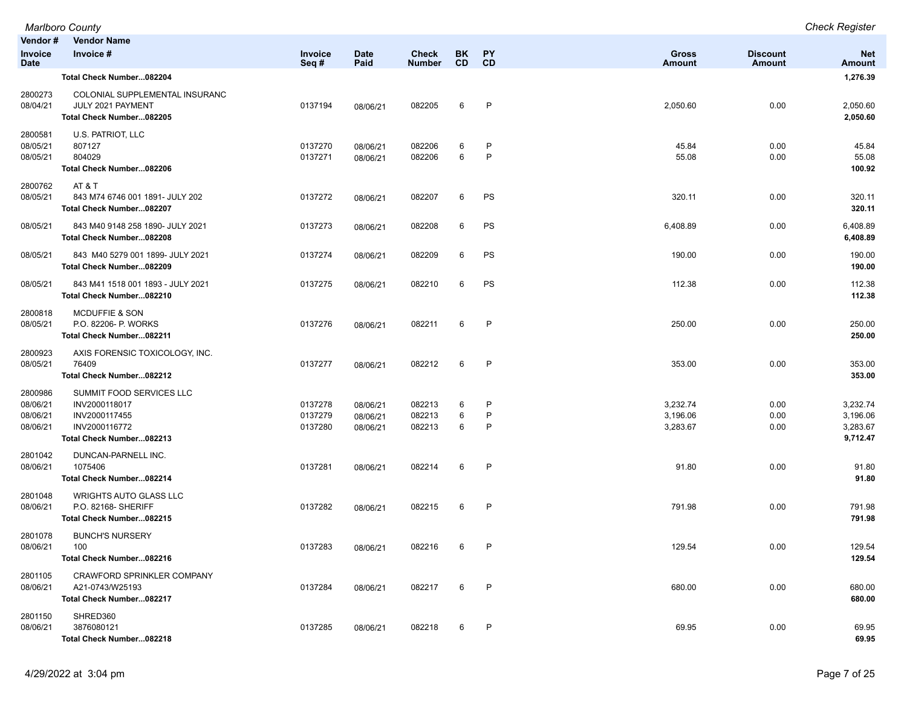|                                             | Marlboro County                                                                                         |                               |                                  |                               |                        |                        |                                  |                           | <b>Check Register</b>                        |
|---------------------------------------------|---------------------------------------------------------------------------------------------------------|-------------------------------|----------------------------------|-------------------------------|------------------------|------------------------|----------------------------------|---------------------------|----------------------------------------------|
| Vendor#                                     | <b>Vendor Name</b>                                                                                      |                               |                                  |                               |                        |                        |                                  |                           |                                              |
| Invoice<br><b>Date</b>                      | Invoice #                                                                                               | Invoice<br>Seq#               | <b>Date</b><br>Paid              | <b>Check</b><br><b>Number</b> | <b>BK</b><br><b>CD</b> | PY<br><b>CD</b>        | <b>Gross</b><br><b>Amount</b>    | <b>Discount</b><br>Amount | <b>Net</b><br><b>Amount</b>                  |
|                                             | Total Check Number082204                                                                                |                               |                                  |                               |                        |                        |                                  |                           | 1,276.39                                     |
| 2800273<br>08/04/21                         | COLONIAL SUPPLEMENTAL INSURANC<br>JULY 2021 PAYMENT<br>Total Check Number082205                         | 0137194                       | 08/06/21                         | 082205                        | 6                      | P                      | 2,050.60                         | 0.00                      | 2,050.60<br>2,050.60                         |
| 2800581<br>08/05/21<br>08/05/21             | U.S. PATRIOT, LLC<br>807127<br>804029<br>Total Check Number082206                                       | 0137270<br>0137271            | 08/06/21<br>08/06/21             | 082206<br>082206              | 6<br>6                 | P<br>$\mathsf{P}$      | 45.84<br>55.08                   | 0.00<br>0.00              | 45.84<br>55.08<br>100.92                     |
| 2800762<br>08/05/21                         | AT & T<br>843 M74 6746 001 1891- JULY 202<br>Total Check Number082207                                   | 0137272                       | 08/06/21                         | 082207                        | 6                      | PS                     | 320.11                           | 0.00                      | 320.11<br>320.11                             |
| 08/05/21                                    | 843 M40 9148 258 1890- JULY 2021<br>Total Check Number082208                                            | 0137273                       | 08/06/21                         | 082208                        | 6                      | PS                     | 6,408.89                         | 0.00                      | 6,408.89<br>6,408.89                         |
| 08/05/21                                    | 843 M40 5279 001 1899- JULY 2021<br>Total Check Number082209                                            | 0137274                       | 08/06/21                         | 082209                        | 6                      | PS                     | 190.00                           | 0.00                      | 190.00<br>190.00                             |
| 08/05/21                                    | 843 M41 1518 001 1893 - JULY 2021<br>Total Check Number082210                                           | 0137275                       | 08/06/21                         | 082210                        | 6                      | PS                     | 112.38                           | 0.00                      | 112.38<br>112.38                             |
| 2800818<br>08/05/21                         | <b>MCDUFFIE &amp; SON</b><br>P.O. 82206- P. WORKS<br>Total Check Number082211                           | 0137276                       | 08/06/21                         | 082211                        | 6                      | P                      | 250.00                           | 0.00                      | 250.00<br>250.00                             |
| 2800923<br>08/05/21                         | AXIS FORENSIC TOXICOLOGY, INC.<br>76409<br>Total Check Number082212                                     | 0137277                       | 08/06/21                         | 082212                        | 6                      | $\mathsf{P}$           | 353.00                           | 0.00                      | 353.00<br>353.00                             |
| 2800986<br>08/06/21<br>08/06/21<br>08/06/21 | SUMMIT FOOD SERVICES LLC<br>INV2000118017<br>INV2000117455<br>INV2000116772<br>Total Check Number082213 | 0137278<br>0137279<br>0137280 | 08/06/21<br>08/06/21<br>08/06/21 | 082213<br>082213<br>082213    | 6<br>6<br>6            | P<br>$\mathsf{P}$<br>P | 3,232.74<br>3,196.06<br>3,283.67 | 0.00<br>0.00<br>0.00      | 3,232.74<br>3,196.06<br>3,283.67<br>9,712.47 |
| 2801042<br>08/06/21                         | DUNCAN-PARNELL INC.<br>1075406<br>Total Check Number082214                                              | 0137281                       | 08/06/21                         | 082214                        | 6                      | P                      | 91.80                            | 0.00                      | 91.80<br>91.80                               |
| 2801048<br>08/06/21                         | <b>WRIGHTS AUTO GLASS LLC</b><br>P.O. 82168- SHERIFF<br>Total Check Number082215                        | 0137282                       | 08/06/21                         | 082215                        | 6                      | $\mathsf{P}$           | 791.98                           | 0.00                      | 791.98<br>791.98                             |
| 2801078<br>08/06/21                         | <b>BUNCH'S NURSERY</b><br>100<br>Total Check Number082216                                               | 0137283                       | 08/06/21                         | 082216                        | 6                      | P                      | 129.54                           | 0.00                      | 129.54<br>129.54                             |
| 2801105<br>08/06/21                         | CRAWFORD SPRINKLER COMPANY<br>A21-0743/W25193<br>Total Check Number082217                               | 0137284                       | 08/06/21                         | 082217                        | 6                      | P                      | 680.00                           | 0.00                      | 680.00<br>680.00                             |
| 2801150<br>08/06/21                         | SHRED360<br>3876080121<br>Total Check Number082218                                                      | 0137285                       | 08/06/21                         | 082218                        | 6                      | $\mathsf{P}$           | 69.95                            | 0.00                      | 69.95<br>69.95                               |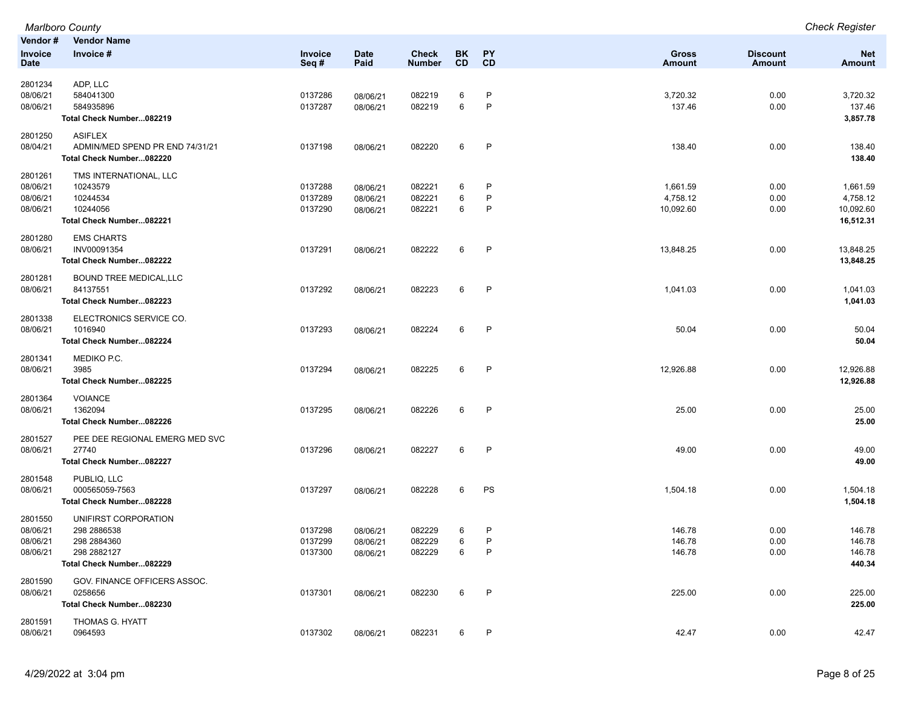|                      | Marlboro County                 |                    |             |                  |        |              |                  |                 | <b>Check Register</b> |
|----------------------|---------------------------------|--------------------|-------------|------------------|--------|--------------|------------------|-----------------|-----------------------|
| Vendor#              | <b>Vendor Name</b>              |                    |             |                  |        |              |                  |                 |                       |
| Invoice              | Invoice #                       | Invoice            | <b>Date</b> | <b>Check</b>     | BK     | PY           | <b>Gross</b>     | <b>Discount</b> | <b>Net</b>            |
| <b>Date</b>          |                                 | Seq#               | Paid        | <b>Number</b>    | CD     | CD           | <b>Amount</b>    | <b>Amount</b>   | <b>Amount</b>         |
| 2801234              | ADP, LLC                        |                    |             |                  |        |              |                  |                 |                       |
| 08/06/21             | 584041300                       | 0137286            | 08/06/21    | 082219           | 6      | P            | 3,720.32         | 0.00            | 3,720.32              |
| 08/06/21             | 584935896                       | 0137287            | 08/06/21    | 082219           | 6      | P            | 137.46           | 0.00            | 137.46                |
|                      | Total Check Number082219        |                    |             |                  |        |              |                  |                 | 3,857.78              |
| 2801250              | <b>ASIFLEX</b>                  |                    |             |                  |        |              |                  |                 |                       |
| 08/04/21             | ADMIN/MED SPEND PR END 74/31/21 | 0137198            | 08/06/21    | 082220           | 6      | P            | 138.40           | 0.00            | 138.40                |
|                      | Total Check Number082220        |                    |             |                  |        |              |                  |                 | 138.40                |
| 2801261              | TMS INTERNATIONAL, LLC          |                    |             |                  |        |              |                  |                 |                       |
| 08/06/21             | 10243579                        | 0137288            | 08/06/21    | 082221           | 6      | P            | 1,661.59         | 0.00            | 1,661.59              |
| 08/06/21             | 10244534                        | 0137289            | 08/06/21    | 082221           | 6      | P            | 4,758.12         | 0.00            | 4,758.12              |
| 08/06/21             | 10244056                        | 0137290            | 08/06/21    | 082221           | 6      | P            | 10,092.60        | 0.00            | 10,092.60             |
|                      | Total Check Number082221        |                    |             |                  |        |              |                  |                 | 16,512.31             |
| 2801280              | <b>EMS CHARTS</b>               |                    |             |                  |        |              |                  |                 |                       |
| 08/06/21             | INV00091354                     | 0137291            | 08/06/21    | 082222           | 6      | $\mathsf{P}$ | 13,848.25        | 0.00            | 13,848.25             |
|                      | Total Check Number082222        |                    |             |                  |        |              |                  |                 | 13,848.25             |
| 2801281              | <b>BOUND TREE MEDICAL, LLC</b>  |                    |             |                  |        |              |                  |                 |                       |
| 08/06/21             | 84137551                        | 0137292            | 08/06/21    | 082223           | 6      | $\mathsf{P}$ | 1,041.03         | 0.00            | 1,041.03              |
|                      | Total Check Number082223        |                    |             |                  |        |              |                  |                 | 1,041.03              |
| 2801338              | ELECTRONICS SERVICE CO.         |                    |             |                  |        |              |                  |                 |                       |
| 08/06/21             | 1016940                         | 0137293            | 08/06/21    | 082224           | 6      | $\mathsf{P}$ | 50.04            | 0.00            | 50.04                 |
|                      | Total Check Number082224        |                    |             |                  |        |              |                  |                 | 50.04                 |
| 2801341              | MEDIKO P.C.                     |                    |             |                  |        |              |                  |                 |                       |
| 08/06/21             | 3985                            | 0137294            | 08/06/21    | 082225           | 6      | $\mathsf{P}$ | 12,926.88        | 0.00            | 12,926.88             |
|                      | Total Check Number082225        |                    |             |                  |        |              |                  |                 | 12,926.88             |
| 2801364              | <b>VOIANCE</b>                  |                    |             |                  |        |              |                  |                 |                       |
| 08/06/21             | 1362094                         | 0137295            | 08/06/21    | 082226           | 6      | P            | 25.00            | 0.00            | 25.00                 |
|                      | Total Check Number082226        |                    |             |                  |        |              |                  |                 | 25.00                 |
| 2801527              | PEE DEE REGIONAL EMERG MED SVC  |                    |             |                  |        |              |                  |                 |                       |
| 08/06/21             | 27740                           | 0137296            | 08/06/21    | 082227           | 6      | P            | 49.00            | 0.00            | 49.00                 |
|                      | Total Check Number082227        |                    |             |                  |        |              |                  |                 | 49.00                 |
| 2801548              | PUBLIQ, LLC                     |                    |             |                  |        |              |                  |                 |                       |
| 08/06/21             | 000565059-7563                  | 0137297            | 08/06/21    | 082228           | 6      | PS           | 1,504.18         | 0.00            | 1,504.18              |
|                      | Total Check Number082228        |                    |             |                  |        |              |                  |                 | 1,504.18              |
| 2801550              | UNIFIRST CORPORATION            |                    |             |                  |        |              |                  |                 |                       |
| 08/06/21             | 298 2886538                     | 0137298            | 08/06/21    | 082229           | 6      | P            | 146.78           | 0.00            | 146.78                |
| 08/06/21<br>08/06/21 | 298 2884360<br>298 2882127      | 0137299<br>0137300 | 08/06/21    | 082229<br>082229 | 6<br>6 | P<br>P       | 146.78<br>146.78 | 0.00<br>0.00    | 146.78<br>146.78      |
|                      | Total Check Number082229        |                    | 08/06/21    |                  |        |              |                  |                 | 440.34                |
| 2801590              | GOV. FINANCE OFFICERS ASSOC.    |                    |             |                  |        |              |                  |                 |                       |
| 08/06/21             | 0258656                         | 0137301            | 08/06/21    | 082230           | 6      | P            | 225.00           | 0.00            | 225.00                |
|                      | Total Check Number082230        |                    |             |                  |        |              |                  |                 | 225.00                |
| 2801591              | THOMAS G. HYATT                 |                    |             |                  |        |              |                  |                 |                       |
| 08/06/21             | 0964593                         | 0137302            | 08/06/21    | 082231           | 6      | P            | 42.47            | 0.00            | 42.47                 |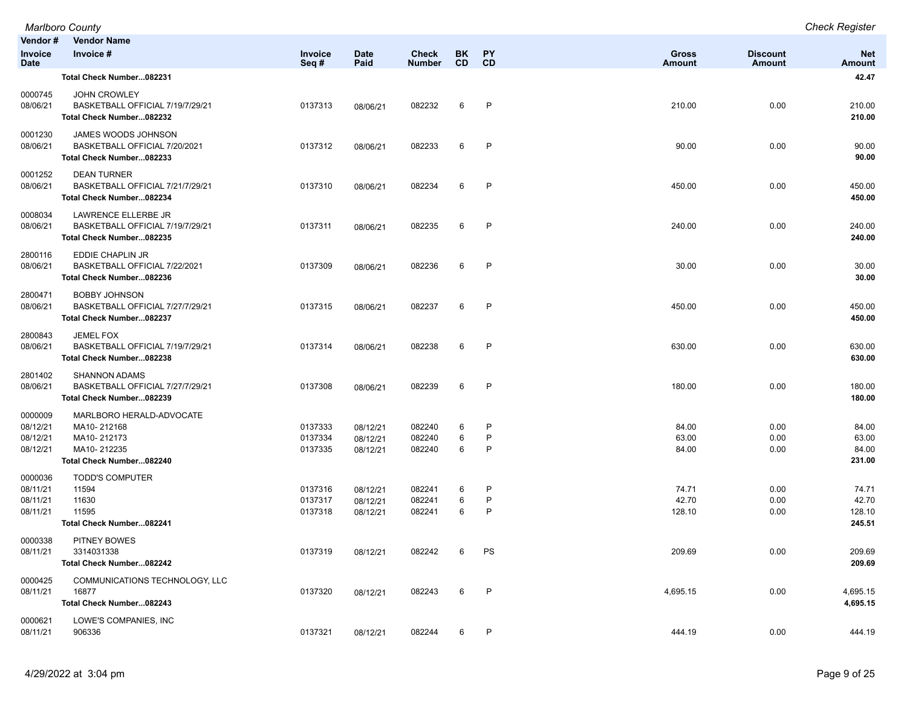|                                             | <b>Marlboro County</b>                                                                            |                               |                                  |                               |                  |                        |                               |                           | <b>Check Register</b>              |
|---------------------------------------------|---------------------------------------------------------------------------------------------------|-------------------------------|----------------------------------|-------------------------------|------------------|------------------------|-------------------------------|---------------------------|------------------------------------|
| Vendor#<br><b>Invoice</b><br><b>Date</b>    | <b>Vendor Name</b><br>Invoice #                                                                   | Invoice<br>Seq#               | <b>Date</b><br>Paid              | <b>Check</b><br><b>Number</b> | BK.<br><b>CD</b> | <b>PY</b><br><b>CD</b> | <b>Gross</b><br><b>Amount</b> | <b>Discount</b><br>Amount | <b>Net</b><br><b>Amount</b>        |
|                                             | Total Check Number082231                                                                          |                               |                                  |                               |                  |                        |                               |                           | 42.47                              |
| 0000745<br>08/06/21                         | <b>JOHN CROWLEY</b><br>BASKETBALL OFFICIAL 7/19/7/29/21<br>Total Check Number082232               | 0137313                       | 08/06/21                         | 082232                        | 6                | P                      | 210.00                        | 0.00                      | 210.00<br>210.00                   |
| 0001230<br>08/06/21                         | JAMES WOODS JOHNSON<br>BASKETBALL OFFICIAL 7/20/2021<br>Total Check Number082233                  | 0137312                       | 08/06/21                         | 082233                        | 6                | $\mathsf{P}$           | 90.00                         | 0.00                      | 90.00<br>90.00                     |
| 0001252<br>08/06/21                         | <b>DEAN TURNER</b><br>BASKETBALL OFFICIAL 7/21/7/29/21<br>Total Check Number082234                | 0137310                       | 08/06/21                         | 082234                        | 6                | $\mathsf{P}$           | 450.00                        | 0.00                      | 450.00<br>450.00                   |
| 0008034<br>08/06/21                         | LAWRENCE ELLERBE JR<br>BASKETBALL OFFICIAL 7/19/7/29/21<br>Total Check Number082235               | 0137311                       | 08/06/21                         | 082235                        | 6                | P                      | 240.00                        | 0.00                      | 240.00<br>240.00                   |
| 2800116<br>08/06/21                         | EDDIE CHAPLIN JR<br>BASKETBALL OFFICIAL 7/22/2021<br>Total Check Number082236                     | 0137309                       | 08/06/21                         | 082236                        | 6                | $\mathsf{P}$           | 30.00                         | 0.00                      | 30.00<br>30.00                     |
| 2800471<br>08/06/21                         | <b>BOBBY JOHNSON</b><br>BASKETBALL OFFICIAL 7/27/7/29/21<br>Total Check Number082237              | 0137315                       | 08/06/21                         | 082237                        | 6                | P                      | 450.00                        | 0.00                      | 450.00<br>450.00                   |
| 2800843<br>08/06/21                         | <b>JEMEL FOX</b><br>BASKETBALL OFFICIAL 7/19/7/29/21<br>Total Check Number082238                  | 0137314                       | 08/06/21                         | 082238                        | 6                | P                      | 630.00                        | 0.00                      | 630.00<br>630.00                   |
| 2801402<br>08/06/21                         | <b>SHANNON ADAMS</b><br>BASKETBALL OFFICIAL 7/27/7/29/21<br>Total Check Number082239              | 0137308                       | 08/06/21                         | 082239                        | 6                | $\mathsf{P}$           | 180.00                        | 0.00                      | 180.00<br>180.00                   |
| 0000009<br>08/12/21<br>08/12/21<br>08/12/21 | MARLBORO HERALD-ADVOCATE<br>MA10-212168<br>MA10-212173<br>MA10-212235<br>Total Check Number082240 | 0137333<br>0137334<br>0137335 | 08/12/21<br>08/12/21<br>08/12/21 | 082240<br>082240<br>082240    | 6<br>6<br>6      | P<br>P<br>P            | 84.00<br>63.00<br>84.00       | 0.00<br>0.00<br>0.00      | 84.00<br>63.00<br>84.00<br>231.00  |
| 0000036<br>08/11/21<br>08/11/21<br>08/11/21 | <b>TODD'S COMPUTER</b><br>11594<br>11630<br>11595<br>Total Check Number082241                     | 0137316<br>0137317<br>0137318 | 08/12/21<br>08/12/21<br>08/12/21 | 082241<br>082241<br>082241    | 6<br>6<br>6      | P<br>P<br>P            | 74.71<br>42.70<br>128.10      | 0.00<br>0.00<br>0.00      | 74.71<br>42.70<br>128.10<br>245.51 |
| 0000338<br>08/11/21                         | PITNEY BOWES<br>3314031338<br>Total Check Number082242                                            | 0137319                       | 08/12/21                         | 082242                        | 6                | PS                     | 209.69                        | 0.00                      | 209.69<br>209.69                   |
| 0000425<br>08/11/21                         | COMMUNICATIONS TECHNOLOGY, LLC<br>16877<br>Total Check Number082243                               | 0137320                       | 08/12/21                         | 082243                        | 6                | $\mathsf{P}$           | 4,695.15                      | 0.00                      | 4,695.15<br>4,695.15               |
| 0000621<br>08/11/21                         | LOWE'S COMPANIES, INC<br>906336                                                                   | 0137321                       | 08/12/21                         | 082244                        | 6                | P                      | 444.19                        | 0.00                      | 444.19                             |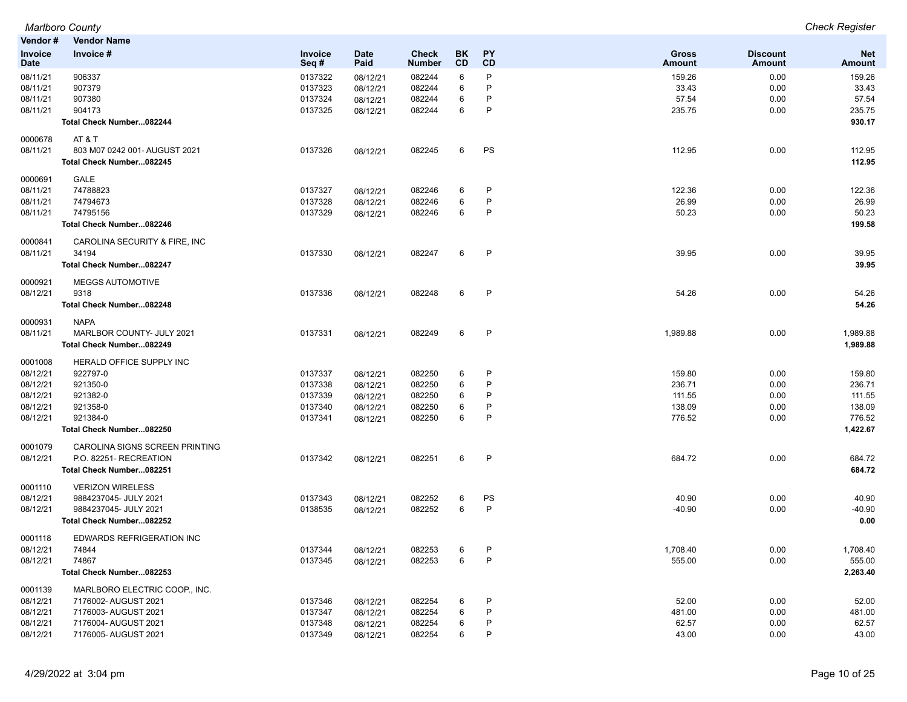| Vendor #       | <b>Vendor Name</b>               |                |             |               |           |              |          |                 |            |
|----------------|----------------------------------|----------------|-------------|---------------|-----------|--------------|----------|-----------------|------------|
| <b>Invoice</b> | Invoice #                        | <b>Invoice</b> | <b>Date</b> | <b>Check</b>  | <b>BK</b> | PΥ           | Gross    | <b>Discount</b> | <b>Net</b> |
| Date           |                                  | Seq#           | Paid        | <b>Number</b> | CD        | CD           | Amount   | <b>Amount</b>   | Amount     |
| 08/11/21       | 906337                           | 0137322        | 08/12/21    | 082244        | 6         | P            | 159.26   | 0.00            | 159.26     |
| 08/11/21       | 907379                           | 0137323        | 08/12/21    | 082244        | 6         | P            | 33.43    | 0.00            | 33.43      |
| 08/11/21       | 907380                           | 0137324        | 08/12/21    | 082244        | 6         | P            | 57.54    | 0.00            | 57.54      |
| 08/11/21       | 904173                           | 0137325        | 08/12/21    | 082244        | 6         | P            | 235.75   | 0.00            | 235.75     |
|                | Total Check Number082244         |                |             |               |           |              |          |                 | 930.17     |
|                |                                  |                |             |               |           |              |          |                 |            |
| 0000678        | AT & T                           |                |             |               |           |              |          |                 |            |
| 08/11/21       | 803 M07 0242 001- AUGUST 2021    | 0137326        | 08/12/21    | 082245        | 6         | PS           | 112.95   | 0.00            | 112.95     |
|                | Total Check Number082245         |                |             |               |           |              |          |                 | 112.95     |
| 0000691        | GALE                             |                |             |               |           |              |          |                 |            |
| 08/11/21       | 74788823                         | 0137327        | 08/12/21    | 082246        | 6         | P            | 122.36   | 0.00            | 122.36     |
| 08/11/21       | 74794673                         | 0137328        | 08/12/21    | 082246        | 6         | P            | 26.99    | 0.00            | 26.99      |
| 08/11/21       | 74795156                         | 0137329        | 08/12/21    | 082246        | 6         | P            | 50.23    | 0.00            | 50.23      |
|                | Total Check Number082246         |                |             |               |           |              |          |                 | 199.58     |
|                |                                  |                |             |               |           |              |          |                 |            |
| 0000841        | CAROLINA SECURITY & FIRE, INC    |                |             |               |           |              |          |                 |            |
| 08/11/21       | 34194                            | 0137330        | 08/12/21    | 082247        | 6         | P            | 39.95    | 0.00            | 39.95      |
|                | Total Check Number082247         |                |             |               |           |              |          |                 | 39.95      |
| 0000921        | <b>MEGGS AUTOMOTIVE</b>          |                |             |               |           |              |          |                 |            |
| 08/12/21       | 9318                             | 0137336        | 08/12/21    | 082248        | 6         | $\mathsf{P}$ | 54.26    | 0.00            | 54.26      |
|                | Total Check Number082248         |                |             |               |           |              |          |                 | 54.26      |
|                |                                  |                |             |               |           |              |          |                 |            |
| 0000931        | <b>NAPA</b>                      |                |             |               |           |              |          |                 |            |
| 08/11/21       | MARLBOR COUNTY- JULY 2021        | 0137331        | 08/12/21    | 082249        | 6         | P            | 1,989.88 | 0.00            | 1,989.88   |
|                | Total Check Number082249         |                |             |               |           |              |          |                 | 1,989.88   |
| 0001008        | HERALD OFFICE SUPPLY INC         |                |             |               |           |              |          |                 |            |
| 08/12/21       | 922797-0                         | 0137337        | 08/12/21    | 082250        | 6         | P            | 159.80   | 0.00            | 159.80     |
| 08/12/21       | 921350-0                         | 0137338        | 08/12/21    | 082250        | 6         | P            | 236.71   | 0.00            | 236.71     |
| 08/12/21       | 921382-0                         | 0137339        | 08/12/21    | 082250        | 6         | P            | 111.55   | 0.00            | 111.55     |
| 08/12/21       | 921358-0                         | 0137340        | 08/12/21    | 082250        | 6         | P            | 138.09   | 0.00            | 138.09     |
| 08/12/21       | 921384-0                         | 0137341        | 08/12/21    | 082250        | 6         | P            | 776.52   | 0.00            | 776.52     |
|                | Total Check Number082250         |                |             |               |           |              |          |                 | 1,422.67   |
|                |                                  |                |             |               |           |              |          |                 |            |
| 0001079        | CAROLINA SIGNS SCREEN PRINTING   |                |             |               |           |              |          |                 |            |
| 08/12/21       | P.O. 82251- RECREATION           | 0137342        | 08/12/21    | 082251        | 6         | $\mathsf{P}$ | 684.72   | 0.00            | 684.72     |
|                | Total Check Number082251         |                |             |               |           |              |          |                 | 684.72     |
| 0001110        | <b>VERIZON WIRELESS</b>          |                |             |               |           |              |          |                 |            |
| 08/12/21       | 9884237045- JULY 2021            | 0137343        | 08/12/21    | 082252        | 6         | PS           | 40.90    | 0.00            | 40.90      |
| 08/12/21       | 9884237045- JULY 2021            | 0138535        | 08/12/21    | 082252        | 6         | $\mathsf{P}$ | $-40.90$ | 0.00            | $-40.90$   |
|                | Total Check Number082252         |                |             |               |           |              |          |                 | 0.00       |
|                |                                  |                |             |               |           |              |          |                 |            |
| 0001118        | <b>EDWARDS REFRIGERATION INC</b> |                |             |               |           |              |          |                 |            |
| 08/12/21       | 74844                            | 0137344        | 08/12/21    | 082253        | 6         | P            | 1,708.40 | 0.00            | 1.708.40   |
| 08/12/21       | 74867                            | 0137345        | 08/12/21    | 082253        | 6         | P            | 555.00   | 0.00            | 555.00     |
|                | Total Check Number082253         |                |             |               |           |              |          |                 | 2,263.40   |
| 0001139        | MARLBORO ELECTRIC COOP., INC.    |                |             |               |           |              |          |                 |            |
| 08/12/21       | 7176002- AUGUST 2021             | 0137346        | 08/12/21    | 082254        | 6         | P            | 52.00    | 0.00            | 52.00      |
| 08/12/21       | 7176003- AUGUST 2021             | 0137347        | 08/12/21    | 082254        | 6         | P            | 481.00   | 0.00            | 481.00     |
| 08/12/21       | 7176004- AUGUST 2021             | 0137348        | 08/12/21    | 082254        | 6         | P            | 62.57    | 0.00            | 62.57      |
| 08/12/21       | 7176005- AUGUST 2021             | 0137349        | 08/12/21    | 082254        | 6         | P            | 43.00    | 0.00            | 43.00      |
|                |                                  |                |             |               |           |              |          |                 |            |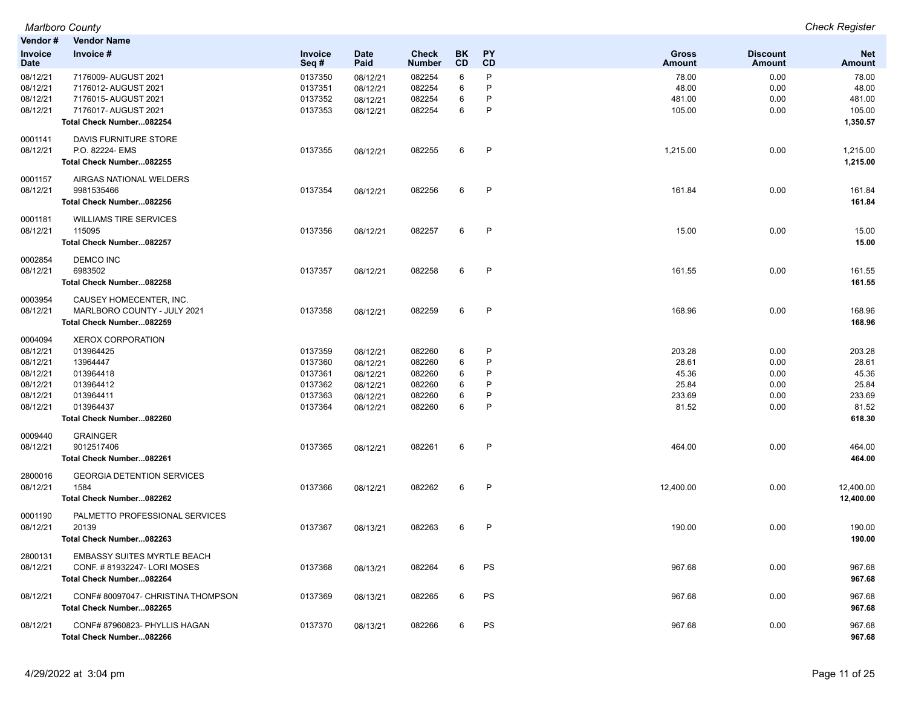| Vendor#                       | <b>Vendor Name</b>                    |                 |                     |                               |          |                 |                        |                                  |                      |
|-------------------------------|---------------------------------------|-----------------|---------------------|-------------------------------|----------|-----------------|------------------------|----------------------------------|----------------------|
| <b>Invoice</b><br><b>Date</b> | Invoice #                             | Invoice<br>Seq# | <b>Date</b><br>Paid | <b>Check</b><br><b>Number</b> | BK<br>CD | <b>PY</b><br>CD | <b>Gross</b><br>Amount | <b>Discount</b><br><b>Amount</b> | <b>Net</b><br>Amount |
| 08/12/21                      | 7176009- AUGUST 2021                  | 0137350         | 08/12/21            | 082254                        | 6        | P               | 78.00                  | 0.00                             | 78.00                |
| 08/12/21                      | 7176012- AUGUST 2021                  | 0137351         | 08/12/21            | 082254                        | 6        | P               | 48.00                  | 0.00                             | 48.00                |
| 08/12/21                      | 7176015- AUGUST 2021                  | 0137352         | 08/12/21            | 082254                        | 6        | P               | 481.00                 | 0.00                             | 481.00               |
| 08/12/21                      | 7176017- AUGUST 2021                  | 0137353         | 08/12/21            | 082254                        | 6        | P               | 105.00                 | 0.00                             | 105.00               |
|                               | Total Check Number082254              |                 |                     |                               |          |                 |                        |                                  | 1,350.57             |
| 0001141                       | DAVIS FURNITURE STORE                 |                 |                     |                               |          |                 |                        |                                  |                      |
| 08/12/21                      | P.O. 82224- EMS                       | 0137355         | 08/12/21            | 082255                        | 6        | $\mathsf{P}$    | 1,215.00               | 0.00                             | 1,215.00             |
|                               | Total Check Number082255              |                 |                     |                               |          |                 |                        |                                  | 1,215.00             |
| 0001157<br>08/12/21           | AIRGAS NATIONAL WELDERS<br>9981535466 |                 |                     |                               |          | P               | 161.84                 |                                  |                      |
|                               |                                       | 0137354         | 08/12/21            | 082256                        | 6        |                 |                        | 0.00                             | 161.84               |
|                               | Total Check Number082256              |                 |                     |                               |          |                 |                        |                                  | 161.84               |
| 0001181                       | <b>WILLIAMS TIRE SERVICES</b>         |                 |                     |                               |          |                 |                        |                                  |                      |
| 08/12/21                      | 115095                                | 0137356         | 08/12/21            | 082257                        | 6        | P               | 15.00                  | 0.00                             | 15.00                |
|                               | Total Check Number082257              |                 |                     |                               |          |                 |                        |                                  | 15.00                |
| 0002854                       | <b>DEMCO INC</b>                      |                 |                     |                               |          |                 |                        |                                  |                      |
| 08/12/21                      | 6983502                               | 0137357         | 08/12/21            | 082258                        | 6        | $\mathsf{P}$    | 161.55                 | 0.00                             | 161.55               |
|                               | Total Check Number082258              |                 |                     |                               |          |                 |                        |                                  | 161.55               |
| 0003954                       | CAUSEY HOMECENTER, INC.               |                 |                     |                               |          |                 |                        |                                  |                      |
| 08/12/21                      | MARLBORO COUNTY - JULY 2021           | 0137358         | 08/12/21            | 082259                        | 6        | P               | 168.96                 | 0.00                             | 168.96               |
|                               | Total Check Number082259              |                 |                     |                               |          |                 |                        |                                  | 168.96               |
| 0004094                       | <b>XEROX CORPORATION</b>              |                 |                     |                               |          |                 |                        |                                  |                      |
| 08/12/21                      | 013964425                             | 0137359         | 08/12/21            | 082260                        | 6        | P               | 203.28                 | 0.00                             | 203.28               |
| 08/12/21                      | 13964447                              | 0137360         | 08/12/21            | 082260                        | 6        | P               | 28.61                  | 0.00                             | 28.61                |
| 08/12/21                      | 013964418                             | 0137361         | 08/12/21            | 082260                        | 6        | P               | 45.36                  | 0.00                             | 45.36                |
| 08/12/21                      | 013964412                             | 0137362         | 08/12/21            | 082260                        | 6        | P               | 25.84                  | 0.00                             | 25.84                |
| 08/12/21                      | 013964411                             | 0137363         | 08/12/21            | 082260                        | 6        | P               | 233.69                 | 0.00                             | 233.69               |
| 08/12/21                      | 013964437                             | 0137364         | 08/12/21            | 082260                        | 6        | P               | 81.52                  | 0.00                             | 81.52                |
|                               | Total Check Number082260              |                 |                     |                               |          |                 |                        |                                  | 618.30               |
| 0009440                       | <b>GRAINGER</b>                       |                 |                     |                               |          |                 |                        |                                  |                      |
| 08/12/21                      | 9012517406                            | 0137365         | 08/12/21            | 082261                        | 6        | P               | 464.00                 | 0.00                             | 464.00               |
|                               | Total Check Number082261              |                 |                     |                               |          |                 |                        |                                  | 464.00               |
| 2800016                       | <b>GEORGIA DETENTION SERVICES</b>     |                 |                     |                               |          |                 |                        |                                  |                      |
| 08/12/21                      | 1584                                  | 0137366         | 08/12/21            | 082262                        | 6        | $\mathsf{P}$    | 12,400.00              | 0.00                             | 12,400.00            |
|                               | Total Check Number082262              |                 |                     |                               |          |                 |                        |                                  | 12,400.00            |
| 0001190                       | PALMETTO PROFESSIONAL SERVICES        |                 |                     |                               |          |                 |                        |                                  |                      |
| 08/12/21                      | 20139                                 | 0137367         | 08/13/21            | 082263                        | 6        | P               | 190.00                 | 0.00                             | 190.00               |
|                               | Total Check Number082263              |                 |                     |                               |          |                 |                        |                                  | 190.00               |
| 2800131                       | <b>EMBASSY SUITES MYRTLE BEACH</b>    |                 |                     |                               |          |                 |                        |                                  |                      |
| 08/12/21                      | CONF. #81932247-LORI MOSES            | 0137368         | 08/13/21            | 082264                        | 6        | PS              | 967.68                 | 0.00                             | 967.68               |
|                               | Total Check Number082264              |                 |                     |                               |          |                 |                        |                                  | 967.68               |
| 08/12/21                      | CONF# 80097047- CHRISTINA THOMPSON    | 0137369         | 08/13/21            | 082265                        | 6        | PS              | 967.68                 | 0.00                             | 967.68               |
|                               | Total Check Number082265              |                 |                     |                               |          |                 |                        |                                  | 967.68               |
| 08/12/21                      | CONF#87960823-PHYLLIS HAGAN           | 0137370         | 08/13/21            | 082266                        | 6        | PS              | 967.68                 | 0.00                             | 967.68               |
|                               | Total Check Number082266              |                 |                     |                               |          |                 |                        |                                  | 967.68               |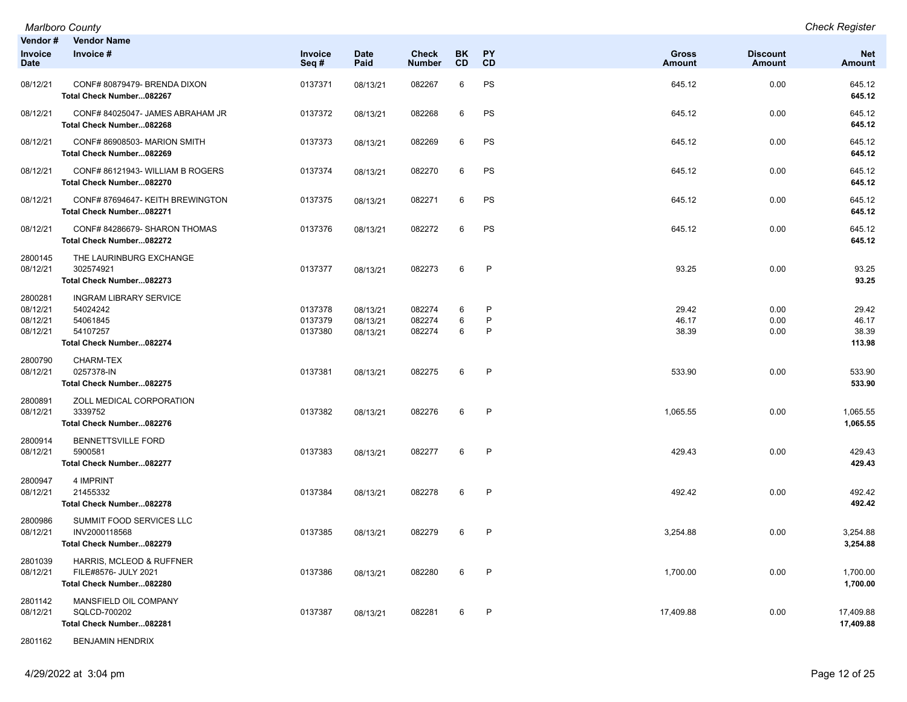*Marlboro County Check Register*

| Vendor #<br><b>Invoice</b><br><b>Date</b>   | <b>Vendor Name</b><br>Invoice #                                                               | Invoice<br>Seq#               | <b>Date</b><br>Paid              | <b>Check</b><br><b>Number</b> | <b>BK</b><br>CD | <b>PY</b><br>CD | <b>Gross</b><br><b>Amount</b> | <b>Discount</b><br>Amount | <b>Net</b><br><b>Amount</b>       |
|---------------------------------------------|-----------------------------------------------------------------------------------------------|-------------------------------|----------------------------------|-------------------------------|-----------------|-----------------|-------------------------------|---------------------------|-----------------------------------|
| 08/12/21                                    | CONF# 80879479- BRENDA DIXON<br>Total Check Number082267                                      | 0137371                       | 08/13/21                         | 082267                        | 6               | PS              | 645.12                        | 0.00                      | 645.12<br>645.12                  |
| 08/12/21                                    | CONF# 84025047- JAMES ABRAHAM JR<br>Total Check Number082268                                  | 0137372                       | 08/13/21                         | 082268                        | 6               | PS              | 645.12                        | 0.00                      | 645.12<br>645.12                  |
| 08/12/21                                    | CONF# 86908503- MARION SMITH<br>Total Check Number082269                                      | 0137373                       | 08/13/21                         | 082269                        | 6               | PS              | 645.12                        | 0.00                      | 645.12<br>645.12                  |
| 08/12/21                                    | CONF#86121943-WILLIAM B ROGERS<br>Total Check Number082270                                    | 0137374                       | 08/13/21                         | 082270                        | 6               | PS              | 645.12                        | 0.00                      | 645.12<br>645.12                  |
| 08/12/21                                    | CONF# 87694647- KEITH BREWINGTON<br>Total Check Number082271                                  | 0137375                       | 08/13/21                         | 082271                        | 6               | PS              | 645.12                        | 0.00                      | 645.12<br>645.12                  |
| 08/12/21                                    | CONF# 84286679- SHARON THOMAS<br>Total Check Number082272                                     | 0137376                       | 08/13/21                         | 082272                        | 6               | PS              | 645.12                        | 0.00                      | 645.12<br>645.12                  |
| 2800145<br>08/12/21                         | THE LAURINBURG EXCHANGE<br>302574921<br>Total Check Number082273                              | 0137377                       | 08/13/21                         | 082273                        | 6               | $\mathsf{P}$    | 93.25                         | 0.00                      | 93.25<br>93.25                    |
| 2800281<br>08/12/21<br>08/12/21<br>08/12/21 | <b>INGRAM LIBRARY SERVICE</b><br>54024242<br>54061845<br>54107257<br>Total Check Number082274 | 0137378<br>0137379<br>0137380 | 08/13/21<br>08/13/21<br>08/13/21 | 082274<br>082274<br>082274    | 6<br>6<br>6     | P<br>P<br>P     | 29.42<br>46.17<br>38.39       | 0.00<br>0.00<br>0.00      | 29.42<br>46.17<br>38.39<br>113.98 |
| 2800790<br>08/12/21                         | <b>CHARM-TEX</b><br>0257378-IN<br>Total Check Number082275                                    | 0137381                       | 08/13/21                         | 082275                        | 6               | $\mathsf{P}$    | 533.90                        | 0.00                      | 533.90<br>533.90                  |
| 2800891<br>08/12/21                         | ZOLL MEDICAL CORPORATION<br>3339752<br>Total Check Number082276                               | 0137382                       | 08/13/21                         | 082276                        | 6               | P               | 1,065.55                      | 0.00                      | 1,065.55<br>1,065.55              |
| 2800914<br>08/12/21                         | <b>BENNETTSVILLE FORD</b><br>5900581<br>Total Check Number082277                              | 0137383                       | 08/13/21                         | 082277                        | 6               | P               | 429.43                        | 0.00                      | 429.43<br>429.43                  |
| 2800947<br>08/12/21                         | 4 IMPRINT<br>21455332<br>Total Check Number082278                                             | 0137384                       | 08/13/21                         | 082278                        | 6               | P               | 492.42                        | 0.00                      | 492.42<br>492.42                  |
| 2800986<br>08/12/21                         | SUMMIT FOOD SERVICES LLC<br>INV2000118568<br>Total Check Number082279                         | 0137385                       | 08/13/21                         | 082279                        | 6               | P               | 3,254.88                      | 0.00                      | 3,254.88<br>3,254.88              |
| 2801039<br>08/12/21                         | HARRIS, MCLEOD & RUFFNER<br>FILE#8576- JULY 2021<br>Total Check Number082280                  | 0137386                       | 08/13/21                         | 082280                        | 6               | P               | 1,700.00                      | 0.00                      | 1,700.00<br>1,700.00              |
| 2801142<br>08/12/21                         | MANSFIELD OIL COMPANY<br>SQLCD-700202<br>Total Check Number082281                             | 0137387                       | 08/13/21                         | 082281                        | 6               | P               | 17,409.88                     | 0.00                      | 17,409.88<br>17,409.88            |

2801162 BENJAMIN HENDRIX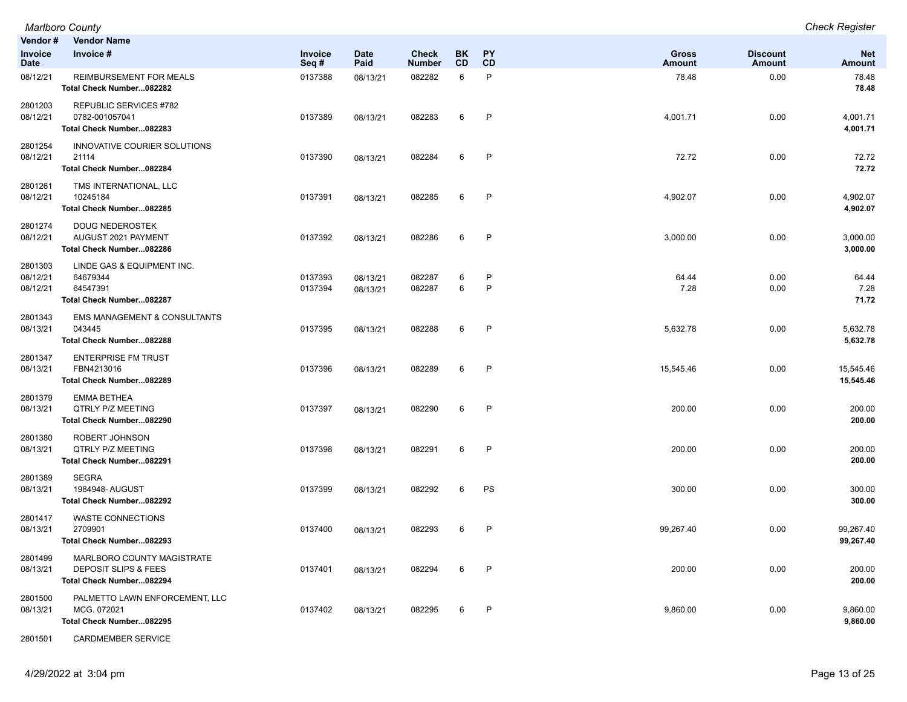|                                 | <b>Marlboro County</b>                                                                    |                    |                      |                        |                  |                        |                        |                                  | <b>Check Register</b>       |
|---------------------------------|-------------------------------------------------------------------------------------------|--------------------|----------------------|------------------------|------------------|------------------------|------------------------|----------------------------------|-----------------------------|
| Vendor #                        | <b>Vendor Name</b>                                                                        |                    |                      |                        |                  |                        |                        |                                  |                             |
| Invoice<br>Date                 | Invoice #                                                                                 | Invoice<br>Seq#    | <b>Date</b><br>Paid  | Check<br><b>Number</b> | BK.<br><b>CD</b> | <b>PY</b><br><b>CD</b> | <b>Gross</b><br>Amount | <b>Discount</b><br><b>Amount</b> | <b>Net</b><br><b>Amount</b> |
| 08/12/21                        | REIMBURSEMENT FOR MEALS<br>Total Check Number082282                                       | 0137388            | 08/13/21             | 082282                 | 6                | P                      | 78.48                  | 0.00                             | 78.48<br>78.48              |
| 2801203<br>08/12/21             | <b>REPUBLIC SERVICES #782</b><br>0782-001057041<br>Total Check Number082283               | 0137389            | 08/13/21             | 082283                 | 6                | P                      | 4,001.71               | 0.00                             | 4,001.71<br>4,001.71        |
| 2801254<br>08/12/21             | INNOVATIVE COURIER SOLUTIONS<br>21114<br>Total Check Number082284                         | 0137390            | 08/13/21             | 082284                 | 6                | P                      | 72.72                  | 0.00                             | 72.72<br>72.72              |
| 2801261<br>08/12/21             | TMS INTERNATIONAL, LLC<br>10245184<br>Total Check Number082285                            | 0137391            | 08/13/21             | 082285                 | 6                | P                      | 4,902.07               | 0.00                             | 4,902.07<br>4,902.07        |
| 2801274<br>08/12/21             | <b>DOUG NEDEROSTEK</b><br>AUGUST 2021 PAYMENT<br>Total Check Number082286                 | 0137392            | 08/13/21             | 082286                 | 6                | P                      | 3,000.00               | 0.00                             | 3,000.00<br>3,000.00        |
| 2801303<br>08/12/21<br>08/12/21 | LINDE GAS & EQUIPMENT INC.<br>64679344<br>64547391<br>Total Check Number082287            | 0137393<br>0137394 | 08/13/21<br>08/13/21 | 082287<br>082287       | 6<br>6           | P<br>P                 | 64.44<br>7.28          | 0.00<br>0.00                     | 64.44<br>7.28<br>71.72      |
| 2801343<br>08/13/21             | <b>EMS MANAGEMENT &amp; CONSULTANTS</b><br>043445<br>Total Check Number082288             | 0137395            | 08/13/21             | 082288                 | 6                | $\mathsf{P}$           | 5,632.78               | 0.00                             | 5,632.78<br>5,632.78        |
| 2801347<br>08/13/21             | <b>ENTERPRISE FM TRUST</b><br>FBN4213016<br>Total Check Number082289                      | 0137396            | 08/13/21             | 082289                 | 6                | P                      | 15,545.46              | 0.00                             | 15,545.46<br>15,545.46      |
| 2801379<br>08/13/21             | <b>EMMA BETHEA</b><br><b>QTRLY P/Z MEETING</b><br>Total Check Number082290                | 0137397            | 08/13/21             | 082290                 | 6                | P                      | 200.00                 | 0.00                             | 200.00<br>200.00            |
| 2801380<br>08/13/21             | ROBERT JOHNSON<br><b>QTRLY P/Z MEETING</b><br>Total Check Number082291                    | 0137398            | 08/13/21             | 082291                 | 6                | P                      | 200.00                 | 0.00                             | 200.00<br>200.00            |
| 2801389<br>08/13/21             | <b>SEGRA</b><br>1984948- AUGUST<br>Total Check Number082292                               | 0137399            | 08/13/21             | 082292                 | 6                | PS                     | 300.00                 | 0.00                             | 300.00<br>300.00            |
| 2801417<br>08/13/21             | <b>WASTE CONNECTIONS</b><br>2709901<br>Total Check Number082293                           | 0137400            | 08/13/21             | 082293                 | 6                | P                      | 99,267.40              | 0.00                             | 99,267.40<br>99,267.40      |
| 2801499<br>08/13/21             | MARLBORO COUNTY MAGISTRATE<br><b>DEPOSIT SLIPS &amp; FEES</b><br>Total Check Number082294 | 0137401            | 08/13/21             | 082294                 | 6                | P                      | 200.00                 | 0.00                             | 200.00<br>200.00            |
| 2801500<br>08/13/21             | PALMETTO LAWN ENFORCEMENT, LLC<br>MCG. 072021<br>Total Check Number082295                 | 0137402            | 08/13/21             | 082295                 | 6                | P                      | 9,860.00               | 0.00                             | 9,860.00<br>9,860.00        |

2801501 CARDMEMBER SERVICE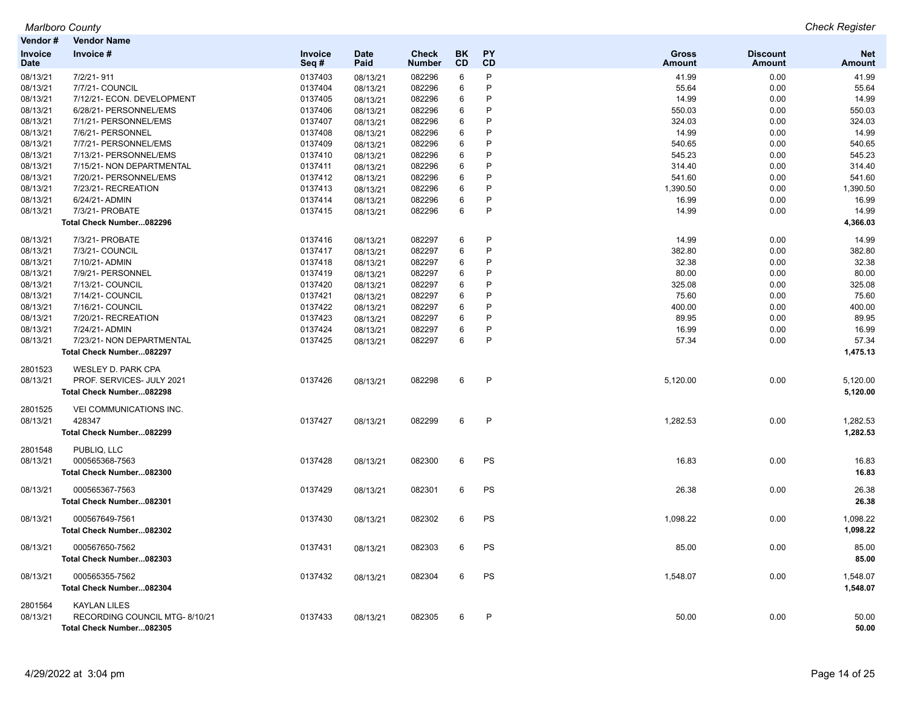| Vendor#                | <b>Vendor Name</b>             |                 |                     |                               |                        |                 |                               |                           |                             |
|------------------------|--------------------------------|-----------------|---------------------|-------------------------------|------------------------|-----------------|-------------------------------|---------------------------|-----------------------------|
| Invoice<br><b>Date</b> | Invoice #                      | Invoice<br>Seq# | <b>Date</b><br>Paid | <b>Check</b><br><b>Number</b> | <b>BK</b><br><b>CD</b> | <b>PY</b><br>CD | <b>Gross</b><br><b>Amount</b> | <b>Discount</b><br>Amount | <b>Net</b><br><b>Amount</b> |
| 08/13/21               | 7/2/21-911                     | 0137403         | 08/13/21            | 082296                        | 6                      | P               | 41.99                         | 0.00                      | 41.99                       |
| 08/13/21               | 7/7/21- COUNCIL                | 0137404         | 08/13/21            | 082296                        | 6                      | P               | 55.64                         | 0.00                      | 55.64                       |
| 08/13/21               | 7/12/21- ECON. DEVELOPMENT     | 0137405         | 08/13/21            | 082296                        | 6                      | P               | 14.99                         | 0.00                      | 14.99                       |
| 08/13/21               | 6/28/21- PERSONNEL/EMS         | 0137406         | 08/13/21            | 082296                        | 6                      | P               | 550.03                        | 0.00                      | 550.03                      |
| 08/13/21               | 7/1/21- PERSONNEL/EMS          | 0137407         | 08/13/21            | 082296                        | 6                      | P               | 324.03                        | 0.00                      | 324.03                      |
| 08/13/21               | 7/6/21- PERSONNEL              | 0137408         | 08/13/21            | 082296                        | 6                      | P               | 14.99                         | 0.00                      | 14.99                       |
| 08/13/21               | 7/7/21- PERSONNEL/EMS          | 0137409         | 08/13/21            | 082296                        | 6                      | P               | 540.65                        | 0.00                      | 540.65                      |
| 08/13/21               | 7/13/21- PERSONNEL/EMS         | 0137410         | 08/13/21            | 082296                        | 6                      | P               | 545.23                        | 0.00                      | 545.23                      |
| 08/13/21               | 7/15/21- NON DEPARTMENTAL      | 0137411         | 08/13/21            | 082296                        | 6                      | P               | 314.40                        | 0.00                      | 314.40                      |
| 08/13/21               | 7/20/21- PERSONNEL/EMS         | 0137412         | 08/13/21            | 082296                        | 6                      | P               | 541.60                        | 0.00                      | 541.60                      |
| 08/13/21               | 7/23/21- RECREATION            | 0137413         | 08/13/21            | 082296                        | $\,6$                  | P               | 1,390.50                      | 0.00                      | 1,390.50                    |
| 08/13/21               | 6/24/21- ADMIN                 | 0137414         | 08/13/21            | 082296                        | 6                      | P               | 16.99                         | 0.00                      | 16.99                       |
| 08/13/21               | 7/3/21- PROBATE                | 0137415         | 08/13/21            | 082296                        | 6                      | P               | 14.99                         | 0.00                      | 14.99                       |
|                        | Total Check Number082296       |                 |                     |                               |                        |                 |                               |                           | 4,366.03                    |
| 08/13/21               | 7/3/21- PROBATE                | 0137416         | 08/13/21            | 082297                        | $\,6$                  | P               | 14.99                         | 0.00                      | 14.99                       |
| 08/13/21               | 7/3/21- COUNCIL                | 0137417         | 08/13/21            | 082297                        | 6                      | P               | 382.80                        | 0.00                      | 382.80                      |
| 08/13/21               | 7/10/21- ADMIN                 | 0137418         | 08/13/21            | 082297                        | 6                      | P               | 32.38                         | 0.00                      | 32.38                       |
| 08/13/21               | 7/9/21- PERSONNEL              | 0137419         | 08/13/21            | 082297                        | 6                      | P               | 80.00                         | 0.00                      | 80.00                       |
| 08/13/21               | 7/13/21- COUNCIL               | 0137420         | 08/13/21            | 082297                        | 6                      | P               | 325.08                        | 0.00                      | 325.08                      |
| 08/13/21               | 7/14/21- COUNCIL               | 0137421         | 08/13/21            | 082297                        | 6                      | P               | 75.60                         | 0.00                      | 75.60                       |
| 08/13/21               | 7/16/21- COUNCIL               | 0137422         | 08/13/21            | 082297                        | $6\phantom{1}$         | P               | 400.00                        | 0.00                      | 400.00                      |
| 08/13/21               | 7/20/21-RECREATION             | 0137423         | 08/13/21            | 082297                        | 6                      | P               | 89.95                         | 0.00                      | 89.95                       |
| 08/13/21               | 7/24/21- ADMIN                 | 0137424         | 08/13/21            | 082297                        | 6                      | P               | 16.99                         | 0.00                      | 16.99                       |
| 08/13/21               | 7/23/21- NON DEPARTMENTAL      | 0137425         | 08/13/21            | 082297                        | 6                      | P               | 57.34                         | 0.00                      | 57.34                       |
|                        | Total Check Number082297       |                 |                     |                               |                        |                 |                               |                           | 1,475.13                    |
|                        |                                |                 |                     |                               |                        |                 |                               |                           |                             |
| 2801523                | WESLEY D. PARK CPA             |                 |                     |                               |                        |                 |                               |                           |                             |
| 08/13/21               | PROF. SERVICES- JULY 2021      | 0137426         | 08/13/21            | 082298                        | 6                      | P               | 5,120.00                      | 0.00                      | 5,120.00                    |
|                        | Total Check Number082298       |                 |                     |                               |                        |                 |                               |                           | 5,120.00                    |
| 2801525                | VEI COMMUNICATIONS INC.        |                 |                     |                               |                        |                 |                               |                           |                             |
| 08/13/21               | 428347                         | 0137427         | 08/13/21            | 082299                        | 6                      | $\mathsf{P}$    | 1,282.53                      | 0.00                      | 1,282.53                    |
|                        | Total Check Number082299       |                 |                     |                               |                        |                 |                               |                           | 1,282.53                    |
| 2801548                | PUBLIQ, LLC                    |                 |                     |                               |                        |                 |                               |                           |                             |
| 08/13/21               | 000565368-7563                 | 0137428         | 08/13/21            | 082300                        | 6                      | PS              | 16.83                         | 0.00                      | 16.83                       |
|                        | Total Check Number082300       |                 |                     |                               |                        |                 |                               |                           | 16.83                       |
| 08/13/21               | 000565367-7563                 | 0137429         |                     | 082301                        | 6                      | PS              | 26.38                         | 0.00                      | 26.38                       |
|                        | Total Check Number082301       |                 | 08/13/21            |                               |                        |                 |                               |                           | 26.38                       |
|                        |                                |                 |                     |                               |                        |                 |                               |                           |                             |
| 08/13/21               | 000567649-7561                 | 0137430         | 08/13/21            | 082302                        | 6                      | PS              | 1,098.22                      | 0.00                      | 1,098.22                    |
|                        | Total Check Number082302       |                 |                     |                               |                        |                 |                               |                           | 1,098.22                    |
| 08/13/21               | 000567650-7562                 | 0137431         | 08/13/21            | 082303                        | 6                      | PS              | 85.00                         | 0.00                      | 85.00                       |
|                        | Total Check Number082303       |                 |                     |                               |                        |                 |                               |                           | 85.00                       |
| 08/13/21               | 000565355-7562                 | 0137432         | 08/13/21            | 082304                        | 6                      | PS              | 1,548.07                      | 0.00                      | 1,548.07                    |
|                        | Total Check Number082304       |                 |                     |                               |                        |                 |                               |                           | 1,548.07                    |
| 2801564                | <b>KAYLAN LILES</b>            |                 |                     |                               |                        |                 |                               |                           |                             |
| 08/13/21               | RECORDING COUNCIL MTG- 8/10/21 | 0137433         | 08/13/21            | 082305                        | 6                      | P               | 50.00                         | 0.00                      | 50.00                       |
|                        | Total Check Number082305       |                 |                     |                               |                        |                 |                               |                           | 50.00                       |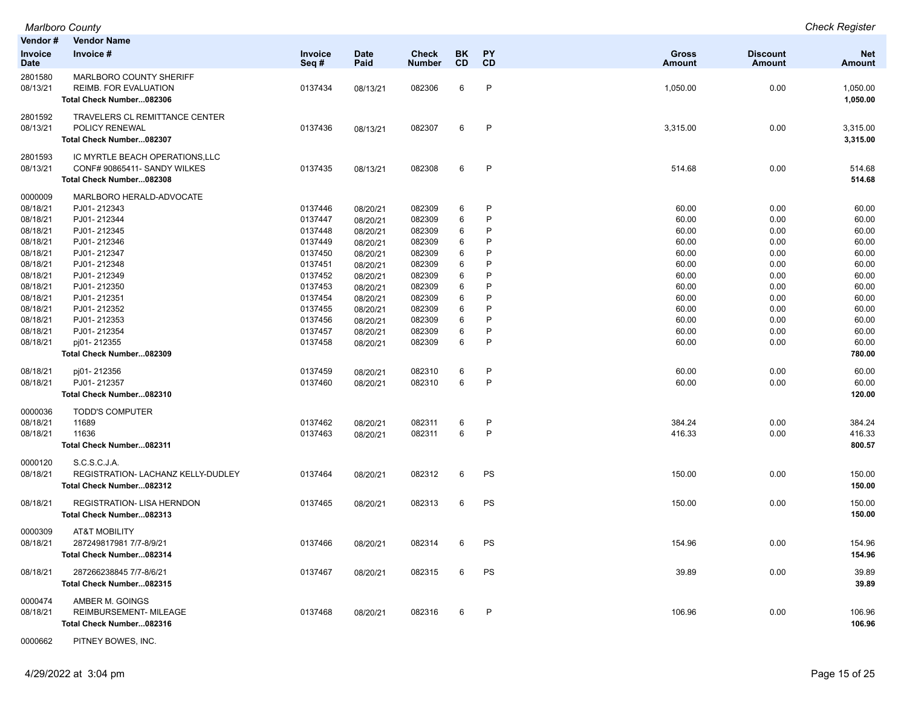| Vendor #                      | <b>Vendor Name</b>                                                                  |                 |                     |                               |                 |                 |                               |                           |                             |
|-------------------------------|-------------------------------------------------------------------------------------|-----------------|---------------------|-------------------------------|-----------------|-----------------|-------------------------------|---------------------------|-----------------------------|
| <b>Invoice</b><br><b>Date</b> | Invoice #                                                                           | Invoice<br>Seq# | <b>Date</b><br>Paid | <b>Check</b><br><b>Number</b> | <b>BK</b><br>CD | <b>PY</b><br>CD | <b>Gross</b><br><b>Amount</b> | <b>Discount</b><br>Amount | <b>Net</b><br><b>Amount</b> |
| 2801580<br>08/13/21           | MARLBORO COUNTY SHERIFF<br><b>REIMB. FOR EVALUATION</b><br>Total Check Number082306 | 0137434         | 08/13/21            | 082306                        | 6               | $\mathsf{P}$    | 1,050.00                      | 0.00                      | 1,050.00<br>1,050.00        |
|                               |                                                                                     |                 |                     |                               |                 |                 |                               |                           |                             |
| 2801592                       | <b>TRAVELERS CL REMITTANCE CENTER</b>                                               |                 |                     |                               |                 |                 |                               |                           |                             |
| 08/13/21                      | POLICY RENEWAL                                                                      | 0137436         | 08/13/21            | 082307                        | 6               | $\mathsf{P}$    | 3,315.00                      | 0.00                      | 3,315.00                    |
|                               | Total Check Number082307                                                            |                 |                     |                               |                 |                 |                               |                           | 3,315.00                    |
| 2801593                       | IC MYRTLE BEACH OPERATIONS, LLC                                                     |                 |                     |                               |                 |                 |                               |                           |                             |
| 08/13/21                      | CONF# 90865411- SANDY WILKES                                                        | 0137435         | 08/13/21            | 082308                        | 6               | P               | 514.68                        | 0.00                      | 514.68                      |
|                               | Total Check Number082308                                                            |                 |                     |                               |                 |                 |                               |                           | 514.68                      |
| 0000009                       | MARLBORO HERALD-ADVOCATE                                                            |                 |                     |                               |                 |                 |                               |                           |                             |
| 08/18/21                      | PJ01-212343                                                                         | 0137446         | 08/20/21            | 082309                        | 6               | P               | 60.00                         | 0.00                      | 60.00                       |
| 08/18/21                      | PJ01-212344                                                                         | 0137447         | 08/20/21            | 082309                        | 6               | P               | 60.00                         | 0.00                      | 60.00                       |
| 08/18/21                      | PJ01-212345                                                                         | 0137448         | 08/20/21            | 082309                        | 6               | P               | 60.00                         | 0.00                      | 60.00                       |
| 08/18/21                      | PJ01-212346                                                                         | 0137449         | 08/20/21            | 082309                        | 6               | P               | 60.00                         | 0.00                      | 60.00                       |
| 08/18/21                      | PJ01-212347                                                                         | 0137450         | 08/20/21            | 082309                        | 6               | P               | 60.00                         | 0.00                      | 60.00                       |
| 08/18/21                      | PJ01-212348                                                                         | 0137451         | 08/20/21            | 082309                        | 6               | P               | 60.00                         | 0.00                      | 60.00                       |
| 08/18/21                      | PJ01-212349                                                                         | 0137452         | 08/20/21            | 082309                        | 6               | P               | 60.00                         | 0.00                      | 60.00                       |
| 08/18/21                      | PJ01-212350                                                                         | 0137453         | 08/20/21            | 082309                        | 6               | P               | 60.00                         | 0.00                      | 60.00                       |
| 08/18/21                      | PJ01-212351                                                                         | 0137454         | 08/20/21            | 082309                        | 6               | P               | 60.00                         | 0.00                      | 60.00                       |
| 08/18/21                      | PJ01-212352                                                                         | 0137455         | 08/20/21            | 082309                        | 6               | P               | 60.00                         | 0.00                      | 60.00                       |
| 08/18/21                      | PJ01-212353                                                                         | 0137456         | 08/20/21            | 082309                        | 6               | P               | 60.00                         | 0.00                      | 60.00                       |
| 08/18/21                      | PJ01-212354                                                                         | 0137457         | 08/20/21            | 082309                        | 6               | $\mathsf{P}$    | 60.00                         | 0.00                      | 60.00                       |
| 08/18/21                      | pj01-212355                                                                         | 0137458         | 08/20/21            | 082309                        | 6               | P               | 60.00                         | 0.00                      | 60.00                       |
|                               | Total Check Number082309                                                            |                 |                     |                               |                 |                 |                               |                           | 780.00                      |
| 08/18/21                      | pj01-212356                                                                         | 0137459         | 08/20/21            | 082310                        | 6               | $\mathsf{P}$    | 60.00                         | 0.00                      | 60.00                       |
| 08/18/21                      | PJ01-212357                                                                         | 0137460         | 08/20/21            | 082310                        | 6               | $\mathsf{P}$    | 60.00                         | 0.00                      | 60.00                       |
|                               | Total Check Number082310                                                            |                 |                     |                               |                 |                 |                               |                           | 120.00                      |
| 0000036                       | <b>TODD'S COMPUTER</b>                                                              |                 |                     |                               |                 |                 |                               |                           |                             |
| 08/18/21                      | 11689                                                                               | 0137462         | 08/20/21            | 082311                        | 6               | P               | 384.24                        | 0.00                      | 384.24                      |
| 08/18/21                      | 11636                                                                               | 0137463         | 08/20/21            | 082311                        | 6               | P               | 416.33                        | 0.00                      | 416.33                      |
|                               | Total Check Number082311                                                            |                 |                     |                               |                 |                 |                               |                           | 800.57                      |
| 0000120                       | S.C.S.C.J.A.                                                                        |                 |                     |                               |                 |                 |                               |                           |                             |
| 08/18/21                      | REGISTRATION- LACHANZ KELLY-DUDLEY                                                  | 0137464         | 08/20/21            | 082312                        | 6               | PS              | 150.00                        | 0.00                      | 150.00                      |
|                               | Total Check Number082312                                                            |                 |                     |                               |                 |                 |                               |                           | 150.00                      |
| 08/18/21                      | REGISTRATION- LISA HERNDON                                                          | 0137465         | 08/20/21            | 082313                        | 6               | PS              | 150.00                        | 0.00                      | 150.00                      |
|                               | Total Check Number082313                                                            |                 |                     |                               |                 |                 |                               |                           | 150.00                      |
| 0000309                       | <b>AT&amp;T MOBILITY</b>                                                            |                 |                     |                               |                 |                 |                               |                           |                             |
| 08/18/21                      | 287249817981 7/7-8/9/21                                                             | 0137466         | 08/20/21            | 082314                        | 6               | PS              | 154.96                        | 0.00                      | 154.96                      |
|                               | Total Check Number082314                                                            |                 |                     |                               |                 |                 |                               |                           | 154.96                      |
|                               |                                                                                     |                 |                     |                               |                 |                 |                               |                           |                             |
| 08/18/21                      | 287266238845 7/7-8/6/21<br>Total Check Number082315                                 | 0137467         | 08/20/21            | 082315                        | 6               | PS              | 39.89                         | 0.00                      | 39.89<br>39.89              |
|                               |                                                                                     |                 |                     |                               |                 |                 |                               |                           |                             |
| 0000474                       | AMBER M. GOINGS                                                                     |                 |                     |                               |                 |                 |                               |                           |                             |
| 08/18/21                      | REIMBURSEMENT- MILEAGE                                                              | 0137468         | 08/20/21            | 082316                        | 6               | P               | 106.96                        | 0.00                      | 106.96                      |
|                               | Total Check Number082316                                                            |                 |                     |                               |                 |                 |                               |                           | 106.96                      |
|                               |                                                                                     |                 |                     |                               |                 |                 |                               |                           |                             |

0000662 PITNEY BOWES, INC.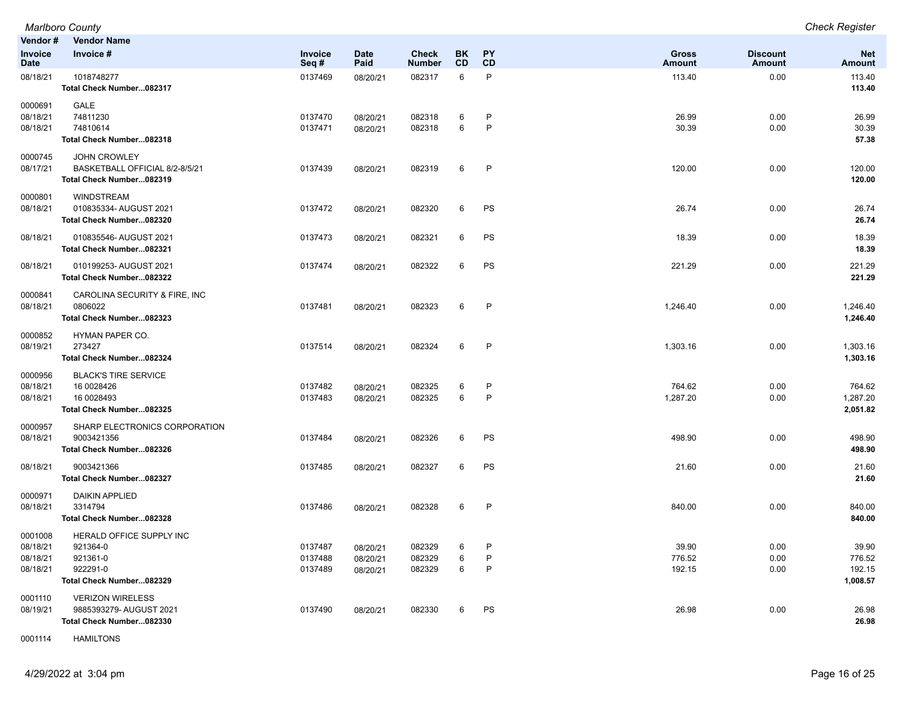**Vendor # Vendor Name Invoice Date Invoice # Invoice Seq # Date Paid Check Number BK CD PY CD Gross Amount Discount Amount Net Amount** 08/18/21 1018748277 0137469 08/20/21 082317 6 P 113.40 0.00 113.40 **Total Check Number...082317 113.40** 0000691 GALE 08/18/21 74811230 0137470 08/20/21 082318 6 P 26.99 26.99 08/18/21 74810614 0137471 08/20/21 082318 6 P 30.39 0.00 30.39 **Total Check Number...082318 57.38** 0000745 JOHN CROWLEY 08/17/21 BASKETBALL OFFICIAL 8/2-8/5/21 0137439 08/20/21 082319 6 P 120.00 0.00 120.00 **Total Check Number...082319 120.00** 0000801 WINDSTREAM 08/18/21 010835334- AUGUST 2021 0137472 08/20/21 082320 6 PS 26.74 26.74 **Total Check Number...082320 26.74** 08/18/21 010835546- AUGUST 2021 0137473 08/20/21 082321 6 PS 18.39 0.00 18.39 **Total Check Number...082321 18.39** 08/18/21 010199253- AUGUST 2021 0137474 08/20/21 082322 6 PS 221.29 0.00 221.29 **Total Check Number...082322 221.29** 0000841 CAROLINA SECURITY & FIRE, INC 08/18/21 0806022 0137481 08/20/21 082323 6 P 1,246.40 0.00 1,246.40 **Total Check Number...082323 1,246.40** 0000852 HYMAN PAPER CO. 08/19/21 273427 0137514 08/20/21 082324 6 P 1,303.16 0.00 1,303.16 **Total Check Number...082324 1,303.16** 0000956 BLACK'S TIRE SERVICE 08/18/21 16 0028426 0137482 08/20/21 082325 6 P 764.62 0.00 764.62 08/18/21 16 0028493 0137483 08/20/21 082325 6 P 1,287.20 0.00 1,287.20 **Total Check Number...082325 2,051.82** 0000957 SHARP ELECTRONICS CORPORATION 08/18/21 9003421356 0137484 08/20/21 082326 6 PS 498.90 498.90 **Total Check Number...082326 498.90** 08/18/21 9003421366 0137485 08/20/21 082327 6 PS 21.60 21.60 **Total Check Number...082327 21.60** 0000971 DAIKIN APPLIED 08/18/21 3314794 0137486 08/20/21 082328 6 P 840.00 840.00 **Total Check Number...082328 840.00** 0001008 HERALD OFFICE SUPPLY INC 08/18/21 921364-0 0137487 08/20/21 082329 6 P 39.90 39.90 08/18/21 921361-0 0137488 08/20/21 082329 6 P 776.52 776.52 08/18/21 922291-0 0137489 08/20/21 082329 6 P 192.15 0.00 192.15 **Total Check Number...082329 1,008.57** 0001110 VERIZON WIRELESS 08/19/21 9885393279- AUGUST 2021 0137490 08/20/21 082330 6 PS 26.98 0.00 26.98 **Total Check Number...082330 26.98**

*Marlboro County Check Register*

0001114 HAMILTONS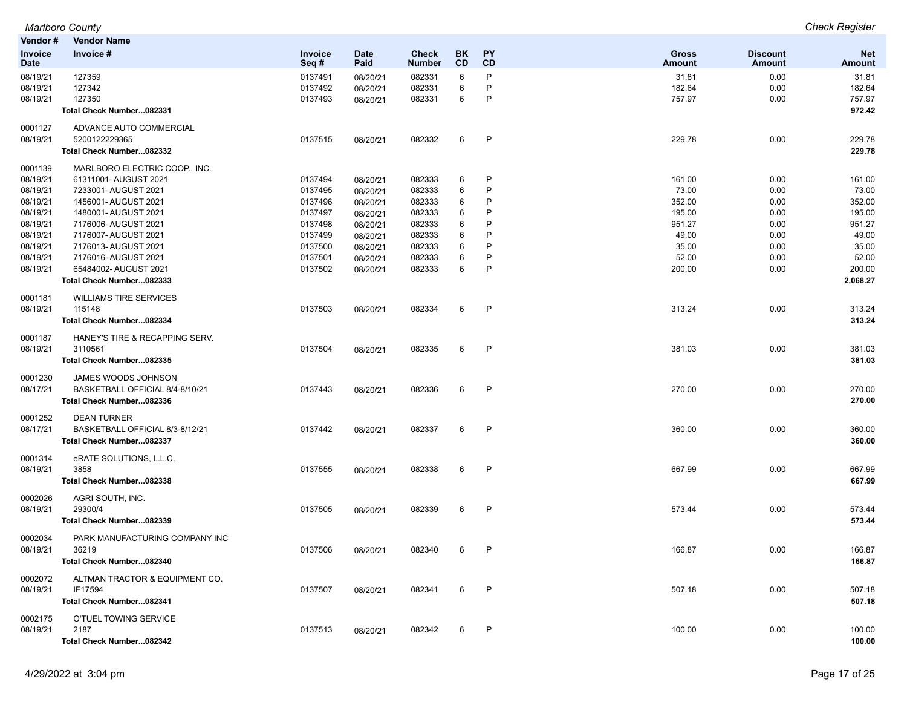| Vendor#                       | <b>Vendor Name</b>                                |                        |                     |                        |                 |                        |                 |                           |                      |
|-------------------------------|---------------------------------------------------|------------------------|---------------------|------------------------|-----------------|------------------------|-----------------|---------------------------|----------------------|
| <b>Invoice</b><br><b>Date</b> | Invoice #                                         | <b>Invoice</b><br>Seq# | <b>Date</b><br>Paid | Check<br><b>Number</b> | BK<br><b>CD</b> | <b>PY</b><br><b>CD</b> | Gross<br>Amount | <b>Discount</b><br>Amount | <b>Net</b><br>Amount |
| 08/19/21                      | 127359                                            | 0137491                | 08/20/21            | 082331                 | 6               | P                      | 31.81           | 0.00                      | 31.81                |
| 08/19/21                      | 127342                                            | 0137492                | 08/20/21            | 082331                 | 6               | P                      | 182.64          | 0.00                      | 182.64               |
| 08/19/21                      | 127350                                            | 0137493                | 08/20/21            | 082331                 | 6               | P                      | 757.97          | 0.00                      | 757.97               |
|                               | Total Check Number082331                          |                        |                     |                        |                 |                        |                 |                           | 972.42               |
| 0001127                       | ADVANCE AUTO COMMERCIAL                           |                        |                     |                        |                 |                        |                 |                           |                      |
| 08/19/21                      | 5200122229365                                     | 0137515                | 08/20/21            | 082332                 | 6               | $\mathsf{P}$           | 229.78          | 0.00                      | 229.78               |
|                               | Total Check Number082332                          |                        |                     |                        |                 |                        |                 |                           | 229.78               |
| 0001139                       | MARLBORO ELECTRIC COOP., INC.                     |                        |                     |                        |                 |                        |                 |                           |                      |
| 08/19/21                      | 61311001- AUGUST 2021                             | 0137494                | 08/20/21            | 082333                 | 6               | P                      | 161.00          | 0.00                      | 161.00               |
| 08/19/21                      | 7233001- AUGUST 2021                              | 0137495                | 08/20/21            | 082333                 | 6               | P                      | 73.00           | 0.00                      | 73.00                |
| 08/19/21                      | 1456001- AUGUST 2021                              | 0137496                | 08/20/21            | 082333                 | 6               | P<br>P                 | 352.00          | 0.00                      | 352.00               |
| 08/19/21                      | 1480001- AUGUST 2021                              | 0137497                | 08/20/21            | 082333                 | 6               | P                      | 195.00          | 0.00                      | 195.00               |
| 08/19/21                      | 7176006- AUGUST 2021                              | 0137498                | 08/20/21            | 082333                 | 6               | P                      | 951.27          | 0.00                      | 951.27               |
| 08/19/21                      | 7176007- AUGUST 2021                              | 0137499                | 08/20/21            | 082333                 | 6               | P                      | 49.00           | 0.00                      | 49.00                |
| 08/19/21                      | 7176013- AUGUST 2021                              | 0137500                | 08/20/21            | 082333                 | 6               | P                      | 35.00           | 0.00                      | 35.00                |
| 08/19/21                      | 7176016- AUGUST 2021                              | 0137501                | 08/20/21            | 082333                 | 6<br>6          | P                      | 52.00           | 0.00                      | 52.00                |
| 08/19/21                      | 65484002- AUGUST 2021<br>Total Check Number082333 | 0137502                | 08/20/21            | 082333                 |                 |                        | 200.00          | 0.00                      | 200.00<br>2,068.27   |
|                               |                                                   |                        |                     |                        |                 |                        |                 |                           |                      |
| 0001181                       | <b>WILLIAMS TIRE SERVICES</b>                     |                        |                     |                        |                 |                        |                 |                           |                      |
| 08/19/21                      | 115148                                            | 0137503                | 08/20/21            | 082334                 | 6               | $\mathsf{P}$           | 313.24          | 0.00                      | 313.24               |
|                               | Total Check Number082334                          |                        |                     |                        |                 |                        |                 |                           | 313.24               |
| 0001187                       | HANEY'S TIRE & RECAPPING SERV.                    |                        |                     |                        |                 |                        |                 |                           |                      |
| 08/19/21                      | 3110561                                           | 0137504                | 08/20/21            | 082335                 | 6               | P                      | 381.03          | 0.00                      | 381.03               |
|                               | Total Check Number082335                          |                        |                     |                        |                 |                        |                 |                           | 381.03               |
| 0001230                       | JAMES WOODS JOHNSON                               |                        |                     |                        |                 |                        |                 |                           |                      |
| 08/17/21                      | BASKETBALL OFFICIAL 8/4-8/10/21                   | 0137443                | 08/20/21            | 082336                 | 6               | P                      | 270.00          | 0.00                      | 270.00               |
|                               | Total Check Number082336                          |                        |                     |                        |                 |                        |                 |                           | 270.00               |
| 0001252                       | <b>DEAN TURNER</b>                                |                        |                     |                        |                 |                        |                 |                           |                      |
| 08/17/21                      | BASKETBALL OFFICIAL 8/3-8/12/21                   | 0137442                | 08/20/21            | 082337                 | 6               | P                      | 360.00          | 0.00                      | 360.00               |
|                               | Total Check Number082337                          |                        |                     |                        |                 |                        |                 |                           | 360.00               |
| 0001314                       | eRATE SOLUTIONS, L.L.C.                           |                        |                     |                        |                 |                        |                 |                           |                      |
| 08/19/21                      | 3858                                              | 0137555                | 08/20/21            | 082338                 | 6               | $\mathsf{P}$           | 667.99          | 0.00                      | 667.99               |
|                               | Total Check Number082338                          |                        |                     |                        |                 |                        |                 |                           | 667.99               |
| 0002026                       | AGRI SOUTH, INC.                                  |                        |                     |                        |                 |                        |                 |                           |                      |
| 08/19/21                      | 29300/4                                           | 0137505                | 08/20/21            | 082339                 | 6               | $\mathsf{P}$           | 573.44          | 0.00                      | 573.44               |
|                               | Total Check Number082339                          |                        |                     |                        |                 |                        |                 |                           | 573.44               |
| 0002034                       | PARK MANUFACTURING COMPANY INC                    |                        |                     |                        |                 |                        |                 |                           |                      |
| 08/19/21                      | 36219                                             | 0137506                | 08/20/21            | 082340                 | 6               | P                      | 166.87          | 0.00                      | 166.87               |
|                               | Total Check Number082340                          |                        |                     |                        |                 |                        |                 |                           | 166.87               |
| 0002072                       | ALTMAN TRACTOR & EQUIPMENT CO.                    |                        |                     |                        |                 |                        |                 |                           |                      |
| 08/19/21                      | IF17594                                           | 0137507                | 08/20/21            | 082341                 | 6               | P                      | 507.18          | 0.00                      | 507.18               |
|                               | Total Check Number082341                          |                        |                     |                        |                 |                        |                 |                           | 507.18               |
| 0002175                       | O'TUEL TOWING SERVICE                             |                        |                     |                        |                 |                        |                 |                           |                      |
| 08/19/21                      | 2187                                              | 0137513                | 08/20/21            | 082342                 | 6               | P                      | 100.00          | 0.00                      | 100.00               |
|                               | Total Check Number082342                          |                        |                     |                        |                 |                        |                 |                           | 100.00               |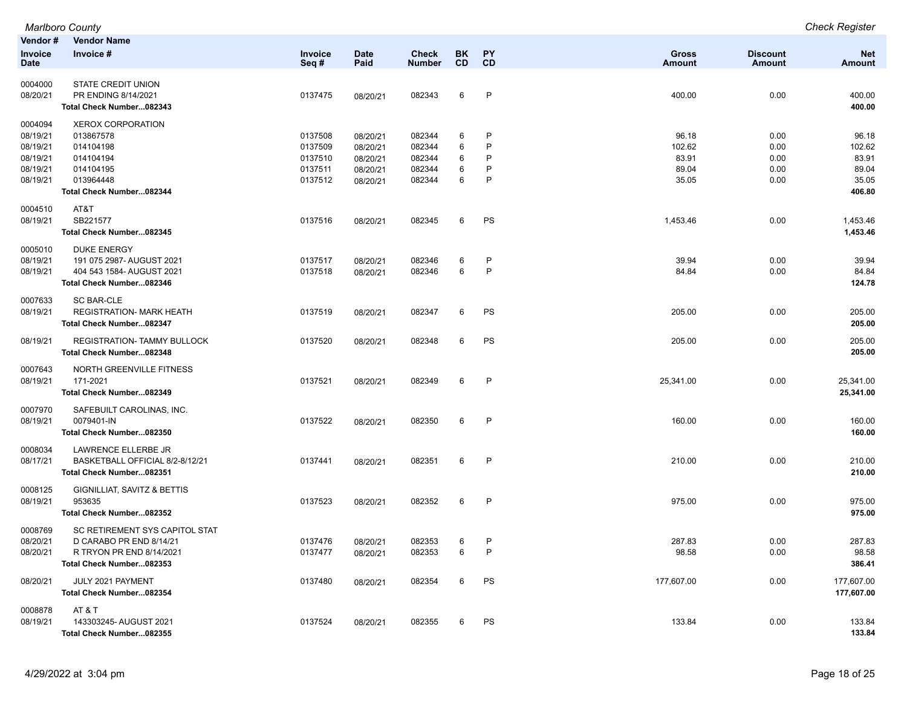|                        | <b>Marlboro County</b>                               |                        |                      |                               |                 |                              |                               |                           | <b>Check Register</b>       |
|------------------------|------------------------------------------------------|------------------------|----------------------|-------------------------------|-----------------|------------------------------|-------------------------------|---------------------------|-----------------------------|
| Vendor#                | <b>Vendor Name</b>                                   |                        |                      |                               |                 |                              |                               |                           |                             |
| <b>Invoice</b><br>Date | Invoice #                                            | <b>Invoice</b><br>Seq# | <b>Date</b><br>Paid  | <b>Check</b><br><b>Number</b> | BK<br><b>CD</b> | PY<br><b>CD</b>              | <b>Gross</b><br><b>Amount</b> | <b>Discount</b><br>Amount | <b>Net</b><br><b>Amount</b> |
|                        | <b>STATE CREDIT UNION</b>                            |                        |                      |                               |                 |                              |                               |                           |                             |
| 0004000                | PR ENDING 8/14/2021                                  |                        |                      |                               | 6               | $\mathsf{P}$                 |                               |                           |                             |
| 08/20/21               | Total Check Number082343                             | 0137475                | 08/20/21             | 082343                        |                 |                              | 400.00                        | 0.00                      | 400.00<br>400.00            |
|                        |                                                      |                        |                      |                               |                 |                              |                               |                           |                             |
| 0004094                | <b>XEROX CORPORATION</b>                             |                        |                      |                               |                 |                              |                               |                           |                             |
| 08/19/21               | 013867578                                            | 0137508                | 08/20/21             | 082344                        | 6               | $\mathsf{P}$<br>$\mathsf{P}$ | 96.18                         | 0.00                      | 96.18                       |
| 08/19/21<br>08/19/21   | 014104198<br>014104194                               | 0137509<br>0137510     | 08/20/21             | 082344<br>082344              | 6<br>6          | P                            | 102.62<br>83.91               | 0.00<br>0.00              | 102.62<br>83.91             |
| 08/19/21               | 014104195                                            | 0137511                | 08/20/21<br>08/20/21 | 082344                        | 6               | P                            | 89.04                         | 0.00                      | 89.04                       |
| 08/19/21               | 013964448                                            | 0137512                | 08/20/21             | 082344                        | 6               | $\mathsf{P}$                 | 35.05                         | 0.00                      | 35.05                       |
|                        | Total Check Number082344                             |                        |                      |                               |                 |                              |                               |                           | 406.80                      |
|                        |                                                      |                        |                      |                               |                 |                              |                               |                           |                             |
| 0004510                | AT&T                                                 |                        |                      |                               |                 |                              |                               |                           |                             |
| 08/19/21               | SB221577                                             | 0137516                | 08/20/21             | 082345                        | 6               | PS                           | 1,453.46                      | 0.00                      | 1,453.46                    |
|                        | Total Check Number082345                             |                        |                      |                               |                 |                              |                               |                           | 1,453.46                    |
| 0005010                | <b>DUKE ENERGY</b>                                   |                        |                      |                               |                 |                              |                               |                           |                             |
| 08/19/21               | 191 075 2987- AUGUST 2021                            | 0137517                | 08/20/21             | 082346                        | 6               | P                            | 39.94                         | 0.00                      | 39.94                       |
| 08/19/21               | 404 543 1584- AUGUST 2021                            | 0137518                | 08/20/21             | 082346                        | 6               | $\mathsf{P}$                 | 84.84                         | 0.00                      | 84.84                       |
|                        | Total Check Number082346                             |                        |                      |                               |                 |                              |                               |                           | 124.78                      |
| 0007633                | <b>SC BAR-CLE</b>                                    |                        |                      |                               |                 |                              |                               |                           |                             |
| 08/19/21               | <b>REGISTRATION- MARK HEATH</b>                      | 0137519                | 08/20/21             | 082347                        | 6               | PS                           | 205.00                        | 0.00                      | 205.00                      |
|                        | Total Check Number082347                             |                        |                      |                               |                 |                              |                               |                           | 205.00                      |
| 08/19/21               | <b>REGISTRATION- TAMMY BULLOCK</b>                   | 0137520                | 08/20/21             | 082348                        | 6               | PS                           | 205.00                        | 0.00                      | 205.00                      |
|                        | Total Check Number082348                             |                        |                      |                               |                 |                              |                               |                           | 205.00                      |
|                        |                                                      |                        |                      |                               |                 |                              |                               |                           |                             |
| 0007643                | NORTH GREENVILLE FITNESS                             |                        |                      |                               |                 |                              |                               |                           |                             |
| 08/19/21               | 171-2021                                             | 0137521                | 08/20/21             | 082349                        | 6               | P                            | 25,341.00                     | 0.00                      | 25,341.00                   |
|                        | Total Check Number082349                             |                        |                      |                               |                 |                              |                               |                           | 25,341.00                   |
| 0007970                | SAFEBUILT CAROLINAS, INC.                            |                        |                      |                               |                 |                              |                               |                           |                             |
| 08/19/21               | 0079401-IN                                           | 0137522                | 08/20/21             | 082350                        | 6               | $\mathsf{P}$                 | 160.00                        | 0.00                      | 160.00                      |
|                        | Total Check Number082350                             |                        |                      |                               |                 |                              |                               |                           | 160.00                      |
| 0008034                | LAWRENCE ELLERBE JR                                  |                        |                      |                               |                 |                              |                               |                           |                             |
| 08/17/21               | BASKETBALL OFFICIAL 8/2-8/12/21                      | 0137441                | 08/20/21             | 082351                        | 6               | P                            | 210.00                        | 0.00                      | 210.00                      |
|                        | Total Check Number082351                             |                        |                      |                               |                 |                              |                               |                           | 210.00                      |
| 0008125                | GIGNILLIAT, SAVITZ & BETTIS                          |                        |                      |                               |                 |                              |                               |                           |                             |
| 08/19/21               | 953635                                               | 0137523                | 08/20/21             | 082352                        | 6               | P                            | 975.00                        | 0.00                      | 975.00                      |
|                        | Total Check Number082352                             |                        |                      |                               |                 |                              |                               |                           | 975.00                      |
|                        |                                                      |                        |                      |                               |                 |                              |                               |                           |                             |
| 0008769                | SC RETIREMENT SYS CAPITOL STAT                       |                        |                      |                               |                 |                              |                               |                           |                             |
| 08/20/21               | D CARABO PR END 8/14/21                              | 0137476                | 08/20/21             | 082353                        | 6               | P                            | 287.83                        | 0.00                      | 287.83                      |
| 08/20/21               | R TRYON PR END 8/14/2021<br>Total Check Number082353 | 0137477                | 08/20/21             | 082353                        | 6               | $\mathsf{P}$                 | 98.58                         | 0.00                      | 98.58<br>386.41             |
|                        |                                                      |                        |                      |                               |                 |                              |                               |                           |                             |
| 08/20/21               | JULY 2021 PAYMENT                                    | 0137480                | 08/20/21             | 082354                        | 6               | PS                           | 177,607.00                    | 0.00                      | 177,607.00                  |
|                        | Total Check Number082354                             |                        |                      |                               |                 |                              |                               |                           | 177,607.00                  |
| 0008878                | AT & T                                               |                        |                      |                               |                 |                              |                               |                           |                             |
| 08/19/21               | 143303245-AUGUST 2021                                | 0137524                | 08/20/21             | 082355                        | 6               | PS                           | 133.84                        | 0.00                      | 133.84                      |
|                        | Total Check Number082355                             |                        |                      |                               |                 |                              |                               |                           | 133.84                      |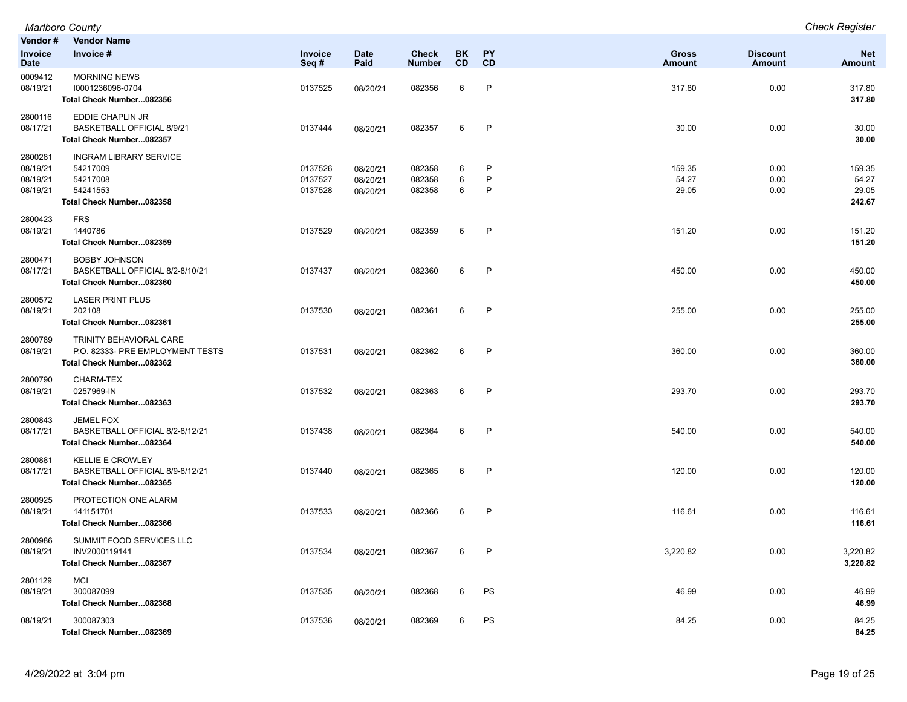| Vendor#                                     | <b>Vendor Name</b>                                                                            |                               |                                  |                               |                   |                        |                               |                                  |                                    |
|---------------------------------------------|-----------------------------------------------------------------------------------------------|-------------------------------|----------------------------------|-------------------------------|-------------------|------------------------|-------------------------------|----------------------------------|------------------------------------|
| Invoice<br><b>Date</b>                      | Invoice #                                                                                     | Invoice<br>Seq#               | <b>Date</b><br>Paid              | <b>Check</b><br><b>Number</b> | <b>BK</b><br>CD   | <b>PY</b><br>CD        | <b>Gross</b><br><b>Amount</b> | <b>Discount</b><br><b>Amount</b> | <b>Net</b><br><b>Amount</b>        |
| 0009412<br>08/19/21                         | <b>MORNING NEWS</b><br>10001236096-0704<br>Total Check Number082356                           | 0137525                       | 08/20/21                         | 082356                        | 6                 | $\mathsf{P}$           | 317.80                        | 0.00                             | 317.80<br>317.80                   |
| 2800116<br>08/17/21                         | EDDIE CHAPLIN JR<br>BASKETBALL OFFICIAL 8/9/21<br>Total Check Number082357                    | 0137444                       | 08/20/21                         | 082357                        | 6                 | P                      | 30.00                         | 0.00                             | 30.00<br>30.00                     |
| 2800281<br>08/19/21<br>08/19/21<br>08/19/21 | <b>INGRAM LIBRARY SERVICE</b><br>54217009<br>54217008<br>54241553<br>Total Check Number082358 | 0137526<br>0137527<br>0137528 | 08/20/21<br>08/20/21<br>08/20/21 | 082358<br>082358<br>082358    | 6<br>$\,6\,$<br>6 | P<br>$\mathsf{P}$<br>P | 159.35<br>54.27<br>29.05      | 0.00<br>0.00<br>0.00             | 159.35<br>54.27<br>29.05<br>242.67 |
| 2800423<br>08/19/21                         | <b>FRS</b><br>1440786<br>Total Check Number082359                                             | 0137529                       | 08/20/21                         | 082359                        | 6                 | $\mathsf{P}$           | 151.20                        | 0.00                             | 151.20<br>151.20                   |
| 2800471<br>08/17/21                         | <b>BOBBY JOHNSON</b><br>BASKETBALL OFFICIAL 8/2-8/10/21<br>Total Check Number082360           | 0137437                       | 08/20/21                         | 082360                        | 6                 | $\mathsf{P}$           | 450.00                        | 0.00                             | 450.00<br>450.00                   |
| 2800572<br>08/19/21                         | <b>LASER PRINT PLUS</b><br>202108<br>Total Check Number082361                                 | 0137530                       | 08/20/21                         | 082361                        | 6                 | P                      | 255.00                        | 0.00                             | 255.00<br>255.00                   |
| 2800789<br>08/19/21                         | TRINITY BEHAVIORAL CARE<br>P.O. 82333- PRE EMPLOYMENT TESTS<br>Total Check Number082362       | 0137531                       | 08/20/21                         | 082362                        | 6                 | $\mathsf{P}$           | 360.00                        | 0.00                             | 360.00<br>360.00                   |
| 2800790<br>08/19/21                         | CHARM-TEX<br>0257969-IN<br>Total Check Number082363                                           | 0137532                       | 08/20/21                         | 082363                        | 6                 | $\mathsf{P}$           | 293.70                        | 0.00                             | 293.70<br>293.70                   |
| 2800843<br>08/17/21                         | <b>JEMEL FOX</b><br>BASKETBALL OFFICIAL 8/2-8/12/21<br>Total Check Number082364               | 0137438                       | 08/20/21                         | 082364                        | 6                 | P                      | 540.00                        | 0.00                             | 540.00<br>540.00                   |
| 2800881<br>08/17/21                         | <b>KELLIE E CROWLEY</b><br>BASKETBALL OFFICIAL 8/9-8/12/21<br>Total Check Number082365        | 0137440                       | 08/20/21                         | 082365                        | 6                 | P                      | 120.00                        | 0.00                             | 120.00<br>120.00                   |
| 2800925<br>08/19/21                         | PROTECTION ONE ALARM<br>141151701<br>Total Check Number082366                                 | 0137533                       | 08/20/21                         | 082366                        | 6                 | $\mathsf{P}$           | 116.61                        | 0.00                             | 116.61<br>116.61                   |
| 2800986<br>08/19/21                         | SUMMIT FOOD SERVICES LLC<br>INV2000119141<br>Total Check Number082367                         | 0137534                       | 08/20/21                         | 082367                        | 6                 | P                      | 3,220.82                      | 0.00                             | 3,220.82<br>3,220.82               |
| 2801129<br>08/19/21                         | <b>MCI</b><br>300087099<br>Total Check Number082368                                           | 0137535                       | 08/20/21                         | 082368                        | 6                 | PS                     | 46.99                         | 0.00                             | 46.99<br>46.99                     |
| 08/19/21                                    | 300087303<br>Total Check Number082369                                                         | 0137536                       | 08/20/21                         | 082369                        | 6                 | PS                     | 84.25                         | 0.00                             | 84.25<br>84.25                     |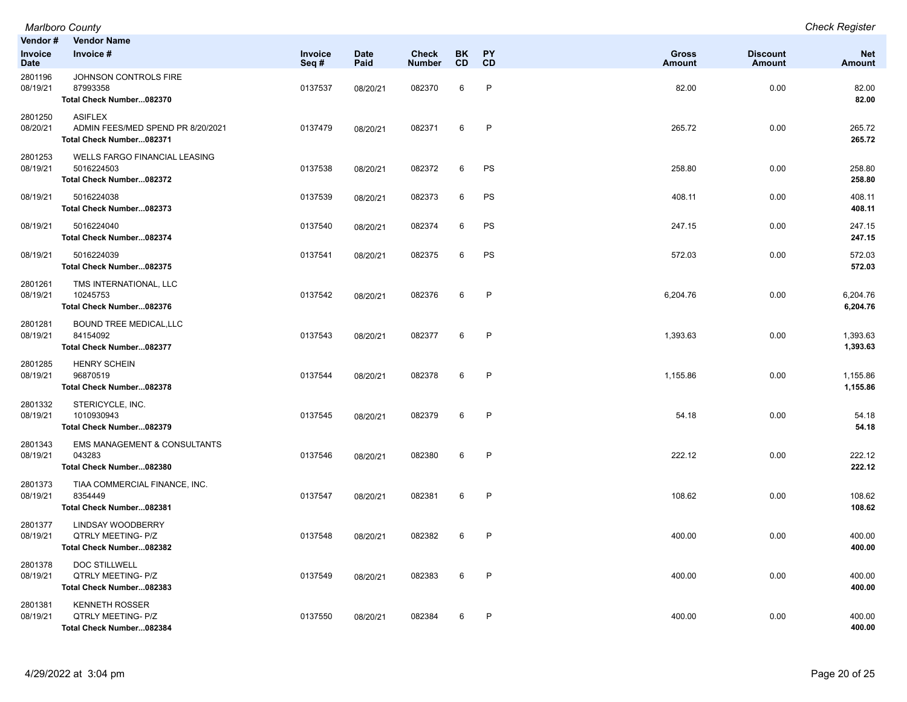| Vendor #<br>Invoice<br>Date | <b>Vendor Name</b><br>Invoice #                                                   | Invoice<br>Seq# | <b>Date</b><br>Paid | <b>Check</b><br><b>Number</b> | <b>BK</b><br><b>CD</b> | <b>PY</b><br><b>CD</b> | <b>Gross</b><br><b>Amount</b> | <b>Discount</b><br><b>Amount</b> | <b>Net</b><br><b>Amount</b> |
|-----------------------------|-----------------------------------------------------------------------------------|-----------------|---------------------|-------------------------------|------------------------|------------------------|-------------------------------|----------------------------------|-----------------------------|
| 2801196<br>08/19/21         | JOHNSON CONTROLS FIRE<br>87993358<br>Total Check Number082370                     | 0137537         | 08/20/21            | 082370                        | 6                      | $\mathsf{P}$           | 82.00                         | 0.00                             | 82.00<br>82.00              |
| 2801250<br>08/20/21         | <b>ASIFLEX</b><br>ADMIN FEES/MED SPEND PR 8/20/2021<br>Total Check Number082371   | 0137479         | 08/20/21            | 082371                        | 6                      | $\mathsf{P}$           | 265.72                        | 0.00                             | 265.72<br>265.72            |
| 2801253<br>08/19/21         | <b>WELLS FARGO FINANCIAL LEASING</b><br>5016224503<br>Total Check Number082372    | 0137538         | 08/20/21            | 082372                        | 6                      | PS                     | 258.80                        | 0.00                             | 258.80<br>258.80            |
| 08/19/21                    | 5016224038<br>Total Check Number082373                                            | 0137539         | 08/20/21            | 082373                        | 6                      | PS                     | 408.11                        | 0.00                             | 408.11<br>408.11            |
| 08/19/21                    | 5016224040<br>Total Check Number082374                                            | 0137540         | 08/20/21            | 082374                        | 6                      | PS                     | 247.15                        | 0.00                             | 247.15<br>247.15            |
| 08/19/21                    | 5016224039<br>Total Check Number082375                                            | 0137541         | 08/20/21            | 082375                        | 6                      | PS                     | 572.03                        | 0.00                             | 572.03<br>572.03            |
| 2801261<br>08/19/21         | TMS INTERNATIONAL, LLC<br>10245753<br>Total Check Number082376                    | 0137542         | 08/20/21            | 082376                        | 6                      | P                      | 6,204.76                      | 0.00                             | 6,204.76<br>6,204.76        |
| 2801281<br>08/19/21         | <b>BOUND TREE MEDICAL, LLC</b><br>84154092<br>Total Check Number082377            | 0137543         | 08/20/21            | 082377                        | 6                      | P                      | 1,393.63                      | 0.00                             | 1,393.63<br>1,393.63        |
| 2801285<br>08/19/21         | <b>HENRY SCHEIN</b><br>96870519<br>Total Check Number082378                       | 0137544         | 08/20/21            | 082378                        | 6                      | $\mathsf{P}$           | 1,155.86                      | 0.00                             | 1,155.86<br>1,155.86        |
| 2801332<br>08/19/21         | STERICYCLE, INC.<br>1010930943<br>Total Check Number082379                        | 0137545         | 08/20/21            | 082379                        | 6                      | $\mathsf{P}$           | 54.18                         | 0.00                             | 54.18<br>54.18              |
| 2801343<br>08/19/21         | EMS MANAGEMENT & CONSULTANTS<br>043283<br>Total Check Number082380                | 0137546         | 08/20/21            | 082380                        | 6                      | $\mathsf{P}$           | 222.12                        | 0.00                             | 222.12<br>222.12            |
| 2801373<br>08/19/21         | TIAA COMMERCIAL FINANCE, INC.<br>8354449<br>Total Check Number082381              | 0137547         | 08/20/21            | 082381                        | 6                      | $\mathsf{P}$           | 108.62                        | 0.00                             | 108.62<br>108.62            |
| 2801377<br>08/19/21         | <b>LINDSAY WOODBERRY</b><br><b>QTRLY MEETING- P/Z</b><br>Total Check Number082382 | 0137548         | 08/20/21            | 082382                        | 6                      | $\mathsf{P}$           | 400.00                        | 0.00                             | 400.00<br>400.00            |
| 2801378<br>08/19/21         | DOC STILLWELL<br><b>QTRLY MEETING- P/Z</b><br>Total Check Number082383            | 0137549         | 08/20/21            | 082383                        | 6                      | $\mathsf{P}$           | 400.00                        | 0.00                             | 400.00<br>400.00            |
| 2801381<br>08/19/21         | <b>KENNETH ROSSER</b><br><b>QTRLY MEETING- P/Z</b><br>Total Check Number082384    | 0137550         | 08/20/21            | 082384                        | 6                      | $\mathsf{P}$           | 400.00                        | 0.00                             | 400.00<br>400.00            |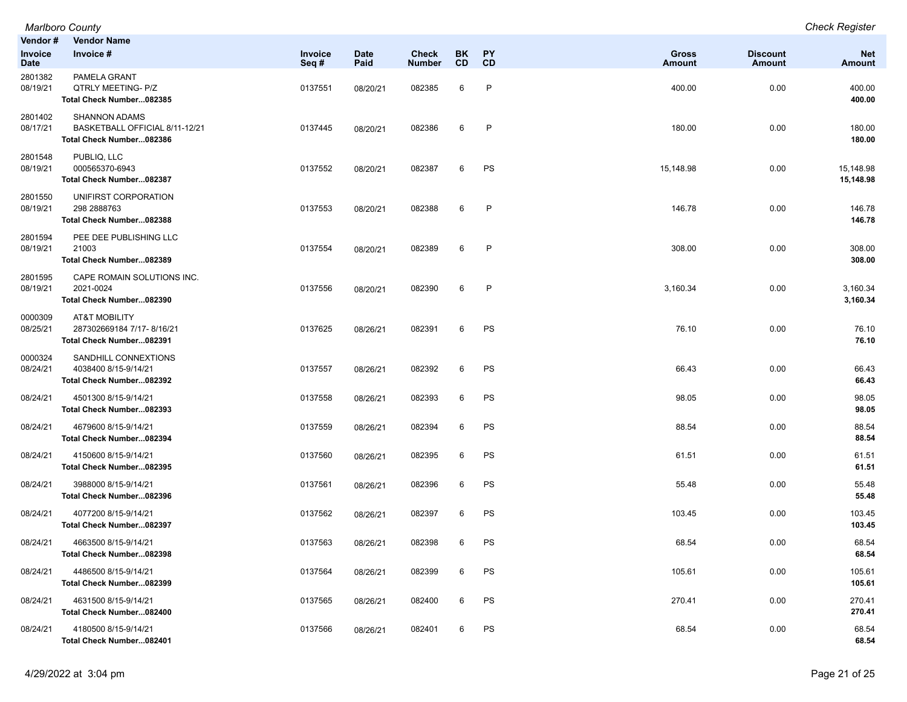| Vendor #<br>Invoice<br>Date | <b>Vendor Name</b><br>Invoice #                                                    | Invoice<br>Seq# | <b>Date</b><br>Paid | <b>Check</b><br><b>Number</b> | <b>BK</b><br><b>CD</b> | PΥ<br><b>CD</b> | Gross<br>Amount | <b>Discount</b><br><b>Amount</b> | <b>Net</b><br>Amount   |
|-----------------------------|------------------------------------------------------------------------------------|-----------------|---------------------|-------------------------------|------------------------|-----------------|-----------------|----------------------------------|------------------------|
| 2801382<br>08/19/21         | PAMELA GRANT<br>QTRLY MEETING- P/Z<br>Total Check Number082385                     | 0137551         | 08/20/21            | 082385                        | 6                      | P               | 400.00          | 0.00                             | 400.00<br>400.00       |
| 2801402<br>08/17/21         | <b>SHANNON ADAMS</b><br>BASKETBALL OFFICIAL 8/11-12/21<br>Total Check Number082386 | 0137445         | 08/20/21            | 082386                        | 6                      | $\mathsf{P}$    | 180.00          | 0.00                             | 180.00<br>180.00       |
| 2801548<br>08/19/21         | PUBLIQ, LLC<br>000565370-6943<br>Total Check Number082387                          | 0137552         | 08/20/21            | 082387                        | 6                      | PS              | 15,148.98       | 0.00                             | 15,148.98<br>15,148.98 |
| 2801550<br>08/19/21         | UNIFIRST CORPORATION<br>298 2888763<br>Total Check Number082388                    | 0137553         | 08/20/21            | 082388                        | 6                      | $\mathsf{P}$    | 146.78          | 0.00                             | 146.78<br>146.78       |
| 2801594<br>08/19/21         | PEE DEE PUBLISHING LLC<br>21003<br>Total Check Number082389                        | 0137554         | 08/20/21            | 082389                        | 6                      | P               | 308.00          | 0.00                             | 308.00<br>308.00       |
| 2801595<br>08/19/21         | CAPE ROMAIN SOLUTIONS INC.<br>2021-0024<br>Total Check Number082390                | 0137556         | 08/20/21            | 082390                        | 6                      | P               | 3,160.34        | 0.00                             | 3,160.34<br>3,160.34   |
| 0000309<br>08/25/21         | AT&T MOBILITY<br>287302669184 7/17-8/16/21<br>Total Check Number082391             | 0137625         | 08/26/21            | 082391                        | 6                      | PS              | 76.10           | 0.00                             | 76.10<br>76.10         |
| 0000324<br>08/24/21         | SANDHILL CONNEXTIONS<br>4038400 8/15-9/14/21<br>Total Check Number082392           | 0137557         | 08/26/21            | 082392                        | 6                      | PS              | 66.43           | 0.00                             | 66.43<br>66.43         |
| 08/24/21                    | 4501300 8/15-9/14/21<br>Total Check Number082393                                   | 0137558         | 08/26/21            | 082393                        | 6                      | PS              | 98.05           | 0.00                             | 98.05<br>98.05         |
| 08/24/21                    | 4679600 8/15-9/14/21<br>Total Check Number082394                                   | 0137559         | 08/26/21            | 082394                        | 6                      | PS              | 88.54           | 0.00                             | 88.54<br>88.54         |
| 08/24/21                    | 4150600 8/15-9/14/21<br>Total Check Number082395                                   | 0137560         | 08/26/21            | 082395                        | 6                      | PS              | 61.51           | 0.00                             | 61.51<br>61.51         |
| 08/24/21                    | 3988000 8/15-9/14/21<br>Total Check Number082396                                   | 0137561         | 08/26/21            | 082396                        | 6                      | PS              | 55.48           | 0.00                             | 55.48<br>55.48         |
| 08/24/21                    | 4077200 8/15-9/14/21<br>Total Check Number082397                                   | 0137562         | 08/26/21            | 082397                        | 6                      | PS              | 103.45          | 0.00                             | 103.45<br>103.45       |
| 08/24/21                    | 4663500 8/15-9/14/21<br>Total Check Number082398                                   | 0137563         | 08/26/21            | 082398                        | 6                      | PS              | 68.54           | 0.00                             | 68.54<br>68.54         |
| 08/24/21                    | 4486500 8/15-9/14/21<br>Total Check Number082399                                   | 0137564         | 08/26/21            | 082399                        | 6                      | PS              | 105.61          | 0.00                             | 105.61<br>105.61       |
| 08/24/21                    | 4631500 8/15-9/14/21<br>Total Check Number082400                                   | 0137565         | 08/26/21            | 082400                        | 6                      | PS              | 270.41          | 0.00                             | 270.41<br>270.41       |
| 08/24/21                    | 4180500 8/15-9/14/21<br>Total Check Number082401                                   | 0137566         | 08/26/21            | 082401                        | 6                      | PS              | 68.54           | 0.00                             | 68.54<br>68.54         |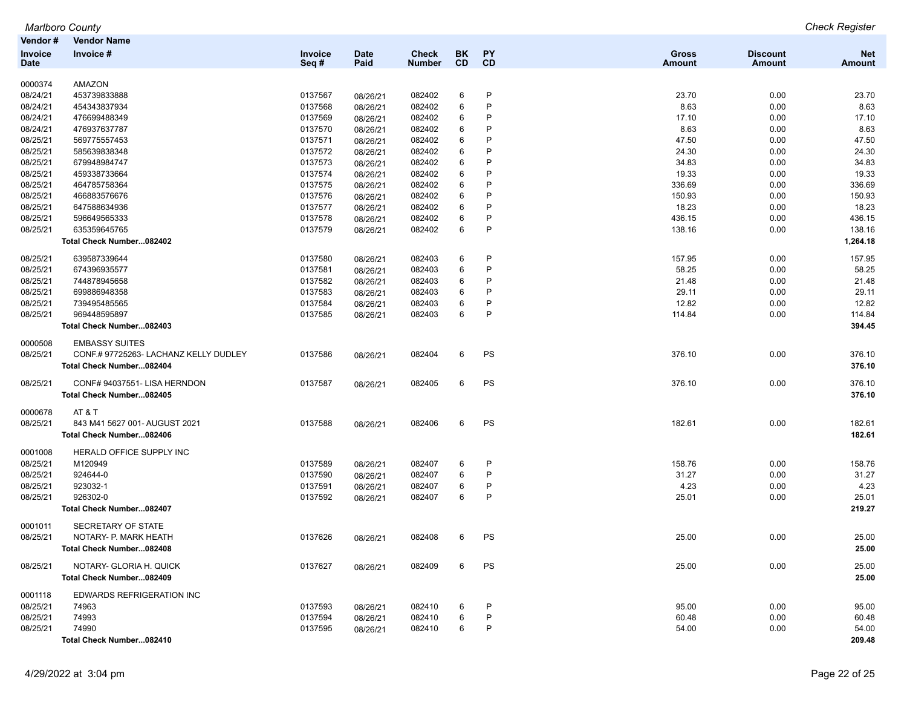|                | <b>Marlboro County</b>                |         |             |               |           |              |               |                 | <b>Check Register</b> |
|----------------|---------------------------------------|---------|-------------|---------------|-----------|--------------|---------------|-----------------|-----------------------|
| Vendor #       | <b>Vendor Name</b>                    |         |             |               |           |              |               |                 |                       |
| <b>Invoice</b> | Invoice#                              | Invoice | <b>Date</b> | <b>Check</b>  | BK        | <b>PY</b>    | Gross         | <b>Discount</b> | <b>Net</b>            |
| Date           |                                       | Seq#    | Paid        | <b>Number</b> | <b>CD</b> | <b>CD</b>    | <b>Amount</b> | <b>Amount</b>   | <b>Amount</b>         |
|                |                                       |         |             |               |           |              |               |                 |                       |
| 0000374        | AMAZON                                |         |             |               |           |              |               |                 |                       |
| 08/24/21       | 453739833888                          | 0137567 | 08/26/21    | 082402        | 6         | P            | 23.70         | 0.00            | 23.70                 |
| 08/24/21       | 454343837934                          | 0137568 | 08/26/21    | 082402        | 6         | P            | 8.63          | 0.00            | 8.63                  |
| 08/24/21       | 476699488349                          | 0137569 | 08/26/21    | 082402        | 6         | P            | 17.10         | 0.00            | 17.10                 |
| 08/24/21       | 476937637787                          | 0137570 | 08/26/21    | 082402        | 6         | P            | 8.63          | 0.00            | 8.63                  |
| 08/25/21       | 569775557453                          | 0137571 | 08/26/21    | 082402        | 6         | P            | 47.50         | 0.00            | 47.50                 |
| 08/25/21       | 585639838348                          | 0137572 | 08/26/21    | 082402        | 6         | P            | 24.30         | 0.00            | 24.30                 |
| 08/25/21       | 679948984747                          | 0137573 | 08/26/21    | 082402        | 6         | P            | 34.83         | 0.00            | 34.83                 |
| 08/25/21       | 459338733664                          | 0137574 | 08/26/21    | 082402        | 6         | P            | 19.33         | 0.00            | 19.33                 |
| 08/25/21       | 464785758364                          | 0137575 | 08/26/21    | 082402        | 6         | P            | 336.69        | 0.00            | 336.69                |
| 08/25/21       | 466883576676                          | 0137576 | 08/26/21    | 082402        | 6         | P            | 150.93        | 0.00            | 150.93                |
| 08/25/21       | 647588634936                          | 0137577 | 08/26/21    | 082402        | 6         | P            | 18.23         | 0.00            | 18.23                 |
| 08/25/21       | 596649565333                          | 0137578 | 08/26/21    | 082402        | 6         | $\mathsf{P}$ | 436.15        | 0.00            | 436.15                |
| 08/25/21       | 635359645765                          | 0137579 | 08/26/21    | 082402        | 6         | $\mathsf{P}$ | 138.16        | 0.00            | 138.16                |
|                | Total Check Number082402              |         |             |               |           |              |               |                 | 1,264.18              |
| 08/25/21       | 639587339644                          | 0137580 | 08/26/21    | 082403        | 6         | P            | 157.95        | 0.00            | 157.95                |
| 08/25/21       | 674396935577                          | 0137581 | 08/26/21    | 082403        | 6         | $\mathsf{P}$ | 58.25         | 0.00            | 58.25                 |
| 08/25/21       | 744878945658                          | 0137582 | 08/26/21    | 082403        | 6         | P            | 21.48         | 0.00            | 21.48                 |
| 08/25/21       | 699886948358                          | 0137583 | 08/26/21    | 082403        | 6         | P            | 29.11         | 0.00            | 29.11                 |
| 08/25/21       | 739495485565                          | 0137584 | 08/26/21    | 082403        | 6         | P            | 12.82         | 0.00            | 12.82                 |
| 08/25/21       | 969448595897                          | 0137585 | 08/26/21    | 082403        | 6         | $\mathsf{P}$ | 114.84        | 0.00            | 114.84                |
|                | Total Check Number082403              |         |             |               |           |              |               |                 | 394.45                |
|                |                                       |         |             |               |           |              |               |                 |                       |
| 0000508        | <b>EMBASSY SUITES</b>                 |         |             |               |           |              |               |                 |                       |
| 08/25/21       | CONF.# 97725263- LACHANZ KELLY DUDLEY | 0137586 | 08/26/21    | 082404        | 6         | PS           | 376.10        | 0.00            | 376.10                |
|                | Total Check Number082404              |         |             |               |           |              |               |                 | 376.10                |
| 08/25/21       | CONF# 94037551- LISA HERNDON          | 0137587 | 08/26/21    | 082405        | 6         | PS           | 376.10        | 0.00            | 376.10                |
|                | Total Check Number082405              |         |             |               |           |              |               |                 | 376.10                |
| 0000678        | AT&T                                  |         |             |               |           |              |               |                 |                       |
| 08/25/21       | 843 M41 5627 001- AUGUST 2021         | 0137588 | 08/26/21    | 082406        | 6         | PS           | 182.61        | 0.00            | 182.61                |
|                | Total Check Number082406              |         |             |               |           |              |               |                 | 182.61                |
|                |                                       |         |             |               |           |              |               |                 |                       |
| 0001008        | HERALD OFFICE SUPPLY INC              |         |             |               |           |              |               |                 |                       |
| 08/25/21       | M120949                               | 0137589 | 08/26/21    | 082407        | 6         | P            | 158.76        | 0.00            | 158.76                |
| 08/25/21       | 924644-0                              | 0137590 | 08/26/21    | 082407        | 6         | P            | 31.27         | 0.00            | 31.27                 |
| 08/25/21       | 923032-1                              | 0137591 | 08/26/21    | 082407        | 6         | P            | 4.23          | 0.00            | 4.23                  |
| 08/25/21       | 926302-0                              | 0137592 | 08/26/21    | 082407        | 6         | $\mathsf{P}$ | 25.01         | 0.00            | 25.01                 |
|                | Total Check Number082407              |         |             |               |           |              |               |                 | 219.27                |
| 0001011        | SECRETARY OF STATE                    |         |             |               |           |              |               |                 |                       |
| 08/25/21       | NOTARY- P. MARK HEATH                 | 0137626 | 08/26/21    | 082408        |           | <b>PS</b>    | 25.00         | 0.00            | 25.00                 |
|                | Total Check Number082408              |         |             |               |           |              |               |                 | 25.00                 |
|                |                                       |         |             |               |           |              |               |                 |                       |
| 08/25/21       | NOTARY- GLORIA H. QUICK               | 0137627 | 08/26/21    | 082409        | 6         | PS           | 25.00         | 0.00            | 25.00                 |
|                | Total Check Number082409              |         |             |               |           |              |               |                 | 25.00                 |
| 0001118        | EDWARDS REFRIGERATION INC             |         |             |               |           |              |               |                 |                       |
| 08/25/21       | 74963                                 | 0137593 | 08/26/21    | 082410        | 6         | P            | 95.00         | 0.00            | 95.00                 |
| 08/25/21       | 74993                                 | 0137594 | 08/26/21    | 082410        | 6         | P            | 60.48         | 0.00            | 60.48                 |
| 08/25/21       | 74990                                 | 0137595 | 08/26/21    | 082410        | 6         | P            | 54.00         | 0.00            | 54.00                 |
|                | Total Check Number082410              |         |             |               |           |              |               |                 | 209.48                |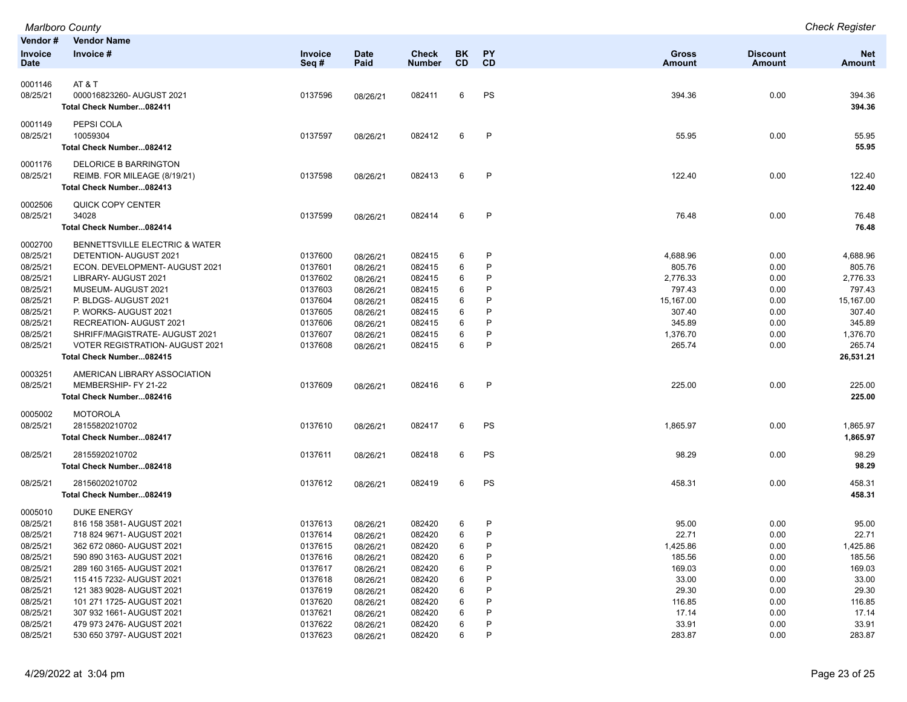|                      | Marlboro County                                                         |                    |             |                  |           |              |                    |                 | <b>Check Register</b> |
|----------------------|-------------------------------------------------------------------------|--------------------|-------------|------------------|-----------|--------------|--------------------|-----------------|-----------------------|
| Vendor#              | <b>Vendor Name</b>                                                      |                    |             |                  |           |              |                    |                 |                       |
| Invoice              | Invoice #                                                               | Invoice            | <b>Date</b> | <b>Check</b>     | BK.       | PY           | <b>Gross</b>       | <b>Discount</b> | <b>Net</b>            |
| <b>Date</b>          |                                                                         | Seq#               | Paid        | <b>Number</b>    | <b>CD</b> | CD           | <b>Amount</b>      | Amount          | <b>Amount</b>         |
| 0001146              | AT&T                                                                    |                    |             |                  |           |              |                    |                 |                       |
| 08/25/21             | 000016823260-AUGUST 2021                                                | 0137596            | 08/26/21    | 082411           | 6         | PS           | 394.36             | 0.00            | 394.36                |
|                      | Total Check Number082411                                                |                    |             |                  |           |              |                    |                 | 394.36                |
|                      |                                                                         |                    |             |                  |           |              |                    |                 |                       |
| 0001149              | PEPSI COLA                                                              |                    |             |                  |           |              |                    |                 |                       |
| 08/25/21             | 10059304                                                                | 0137597            | 08/26/21    | 082412           | 6         | $\mathsf{P}$ | 55.95              | 0.00            | 55.95                 |
|                      | Total Check Number082412                                                |                    |             |                  |           |              |                    |                 | 55.95                 |
| 0001176              | <b>DELORICE B BARRINGTON</b>                                            |                    |             |                  |           |              |                    |                 |                       |
| 08/25/21             | REIMB. FOR MILEAGE (8/19/21)                                            | 0137598            | 08/26/21    | 082413           | 6         | P            | 122.40             | 0.00            | 122.40                |
|                      | Total Check Number082413                                                |                    |             |                  |           |              |                    |                 | 122.40                |
| 0002506              | QUICK COPY CENTER                                                       |                    |             |                  |           |              |                    |                 |                       |
| 08/25/21             | 34028                                                                   | 0137599            | 08/26/21    | 082414           | 6         | P            | 76.48              | 0.00            | 76.48                 |
|                      | Total Check Number082414                                                |                    |             |                  |           |              |                    |                 | 76.48                 |
|                      |                                                                         |                    |             |                  |           |              |                    |                 |                       |
| 0002700              | BENNETTSVILLE ELECTRIC & WATER                                          |                    |             |                  |           |              |                    |                 |                       |
| 08/25/21             | DETENTION- AUGUST 2021                                                  | 0137600            | 08/26/21    | 082415           | 6         | P            | 4,688.96           | 0.00            | 4,688.96              |
| 08/25/21             | ECON. DEVELOPMENT- AUGUST 2021                                          | 0137601            | 08/26/21    | 082415           | 6         | P            | 805.76             | 0.00            | 805.76                |
| 08/25/21             | LIBRARY- AUGUST 2021                                                    | 0137602            | 08/26/21    | 082415           | 6         | P            | 2,776.33           | 0.00            | 2,776.33              |
| 08/25/21             | MUSEUM-AUGUST 2021                                                      | 0137603            | 08/26/21    | 082415           | 6         | P            | 797.43             | 0.00            | 797.43                |
| 08/25/21             | P. BLDGS-AUGUST 2021                                                    | 0137604            | 08/26/21    | 082415           | 6         | P            | 15,167.00          | 0.00            | 15,167.00             |
| 08/25/21             | P. WORKS-AUGUST 2021                                                    | 0137605            | 08/26/21    | 082415           | 6         | P            | 307.40             | 0.00            | 307.40                |
| 08/25/21             | RECREATION- AUGUST 2021                                                 | 0137606            | 08/26/21    | 082415           | 6         | P<br>P       | 345.89             | 0.00            | 345.89                |
| 08/25/21<br>08/25/21 | SHRIFF/MAGISTRATE-AUGUST 2021<br><b>VOTER REGISTRATION- AUGUST 2021</b> | 0137607<br>0137608 | 08/26/21    | 082415<br>082415 | 6<br>6    | P            | 1,376.70<br>265.74 | 0.00<br>0.00    | 1,376.70<br>265.74    |
|                      | Total Check Number082415                                                |                    | 08/26/21    |                  |           |              |                    |                 | 26,531.21             |
|                      |                                                                         |                    |             |                  |           |              |                    |                 |                       |
| 0003251              | AMERICAN LIBRARY ASSOCIATION                                            |                    |             |                  |           |              |                    |                 |                       |
| 08/25/21             | MEMBERSHIP- FY 21-22                                                    | 0137609            | 08/26/21    | 082416           | 6         | $\mathsf{P}$ | 225.00             | 0.00            | 225.00                |
|                      | Total Check Number082416                                                |                    |             |                  |           |              |                    |                 | 225.00                |
| 0005002              | <b>MOTOROLA</b>                                                         |                    |             |                  |           |              |                    |                 |                       |
| 08/25/21             | 28155820210702                                                          | 0137610            | 08/26/21    | 082417           | 6         | PS           | 1,865.97           | 0.00            | 1,865.97              |
|                      | Total Check Number082417                                                |                    |             |                  |           |              |                    |                 | 1,865.97              |
| 08/25/21             | 28155920210702                                                          |                    |             |                  | 6         | PS           | 98.29              | 0.00            | 98.29                 |
|                      | Total Check Number082418                                                | 0137611            | 08/26/21    | 082418           |           |              |                    |                 | 98.29                 |
|                      |                                                                         |                    |             |                  |           |              |                    |                 |                       |
| 08/25/21             | 28156020210702                                                          | 0137612            | 08/26/21    | 082419           | 6         | PS           | 458.31             | 0.00            | 458.31                |
|                      | Total Check Number082419                                                |                    |             |                  |           |              |                    |                 | 458.31                |
| 0005010              | <b>DUKE ENERGY</b>                                                      |                    |             |                  |           |              |                    |                 |                       |
| 08/25/21             | 816 158 3581- AUGUST 2021                                               | 0137613            | 08/26/21    | 082420           | 6         | P            | 95.00              | 0.00            | 95.00                 |
| 08/25/21             | 718 824 9671- AUGUST 2021                                               | 0137614            | 08/26/21    | 082420           | 6         | P            | 22.71              | 0.00            | 22.71                 |
| 08/25/21             | 362 672 0860- AUGUST 2021                                               | 0137615            | 08/26/21    | 082420           | 6         | P            | 1,425.86           | 0.00            | 1,425.86              |
| 08/25/21             | 590 890 3163- AUGUST 2021                                               | 0137616            | 08/26/21    | 082420           | 6         | P            | 185.56             | 0.00            | 185.56                |
| 08/25/21             | 289 160 3165- AUGUST 2021                                               | 0137617            | 08/26/21    | 082420           | 6         | P            | 169.03             | 0.00            | 169.03                |
| 08/25/21             | 115 415 7232- AUGUST 2021                                               | 0137618            | 08/26/21    | 082420           | 6         | P            | 33.00              | 0.00            | 33.00                 |
| 08/25/21             | 121 383 9028- AUGUST 2021                                               | 0137619            | 08/26/21    | 082420           | 6         | P            | 29.30              | 0.00            | 29.30                 |
| 08/25/21             | 101 271 1725- AUGUST 2021                                               | 0137620            | 08/26/21    | 082420           | 6         | P            | 116.85             | 0.00            | 116.85                |
| 08/25/21             | 307 932 1661- AUGUST 2021                                               | 0137621            | 08/26/21    | 082420           | 6         | P            | 17.14              | 0.00            | 17.14                 |
| 08/25/21             | 479 973 2476- AUGUST 2021                                               | 0137622            | 08/26/21    | 082420           | 6         | P            | 33.91              | 0.00            | 33.91                 |
| 08/25/21             | 530 650 3797- AUGUST 2021                                               | 0137623            | 08/26/21    | 082420           | 6         | P            | 283.87             | 0.00            | 283.87                |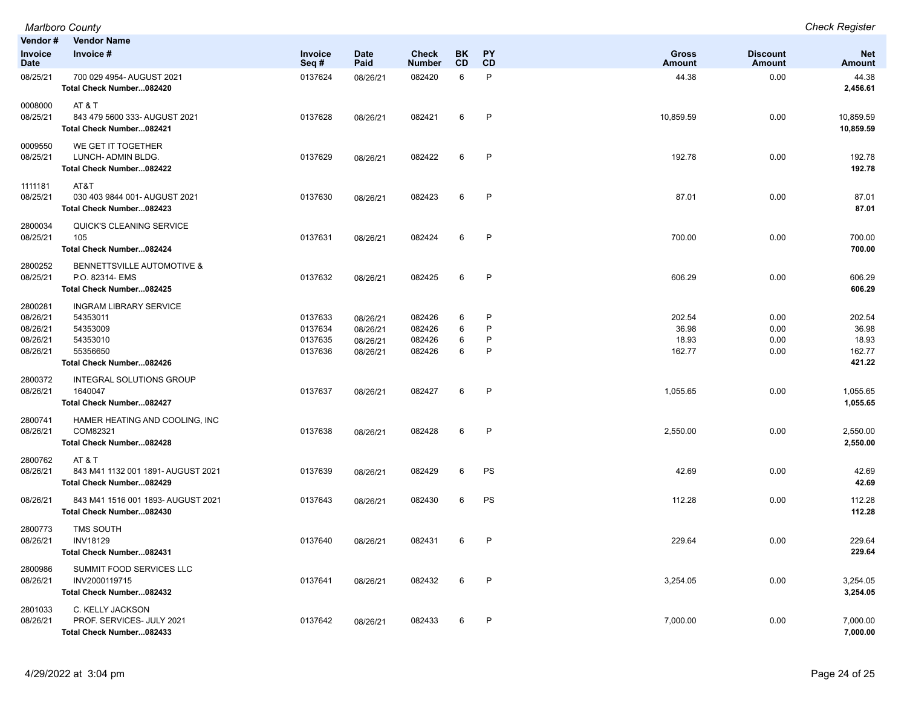| Vendor#                                                 | <b>Vendor Name</b>                                                                                        |                                          |                                              |                                      |                  |                  |                                    |                              |                                              |
|---------------------------------------------------------|-----------------------------------------------------------------------------------------------------------|------------------------------------------|----------------------------------------------|--------------------------------------|------------------|------------------|------------------------------------|------------------------------|----------------------------------------------|
| Invoice<br><b>Date</b>                                  | Invoice #                                                                                                 | Invoice<br>Seq#                          | Date<br>Paid                                 | <b>Check</b><br><b>Number</b>        | <b>BK</b><br>CD  | <b>PY</b><br>CD  | <b>Gross</b><br>Amount             | <b>Discount</b><br>Amount    | <b>Net</b><br><b>Amount</b>                  |
| 08/25/21                                                | 700 029 4954- AUGUST 2021<br>Total Check Number082420                                                     | 0137624                                  | 08/26/21                                     | 082420                               | 6                | P                | 44.38                              | 0.00                         | 44.38<br>2,456.61                            |
| 0008000<br>08/25/21                                     | AT&T<br>843 479 5600 333- AUGUST 2021<br>Total Check Number082421                                         | 0137628                                  | 08/26/21                                     | 082421                               | 6                | P                | 10,859.59                          | 0.00                         | 10,859.59<br>10,859.59                       |
| 0009550<br>08/25/21                                     | WE GET IT TOGETHER<br>LUNCH- ADMIN BLDG.<br>Total Check Number082422                                      | 0137629                                  | 08/26/21                                     | 082422                               | 6                | $\mathsf{P}$     | 192.78                             | 0.00                         | 192.78<br>192.78                             |
| 1111181<br>08/25/21                                     | AT&T<br>030 403 9844 001- AUGUST 2021<br>Total Check Number082423                                         | 0137630                                  | 08/26/21                                     | 082423                               | 6                | $\mathsf{P}$     | 87.01                              | 0.00                         | 87.01<br>87.01                               |
| 2800034<br>08/25/21                                     | QUICK'S CLEANING SERVICE<br>105<br>Total Check Number082424                                               | 0137631                                  | 08/26/21                                     | 082424                               | 6                | P                | 700.00                             | 0.00                         | 700.00<br>700.00                             |
| 2800252<br>08/25/21                                     | BENNETTSVILLE AUTOMOTIVE &<br>P.O. 82314- EMS<br>Total Check Number082425                                 | 0137632                                  | 08/26/21                                     | 082425                               | 6                | $\mathsf{P}$     | 606.29                             | 0.00                         | 606.29<br>606.29                             |
| 2800281<br>08/26/21<br>08/26/21<br>08/26/21<br>08/26/21 | <b>INGRAM LIBRARY SERVICE</b><br>54353011<br>54353009<br>54353010<br>55356650<br>Total Check Number082426 | 0137633<br>0137634<br>0137635<br>0137636 | 08/26/21<br>08/26/21<br>08/26/21<br>08/26/21 | 082426<br>082426<br>082426<br>082426 | 6<br>6<br>6<br>6 | P<br>P<br>P<br>P | 202.54<br>36.98<br>18.93<br>162.77 | 0.00<br>0.00<br>0.00<br>0.00 | 202.54<br>36.98<br>18.93<br>162.77<br>421.22 |
| 2800372<br>08/26/21                                     | INTEGRAL SOLUTIONS GROUP<br>1640047<br>Total Check Number082427                                           | 0137637                                  | 08/26/21                                     | 082427                               | 6                | $\mathsf{P}$     | 1,055.65                           | 0.00                         | 1,055.65<br>1,055.65                         |
| 2800741<br>08/26/21                                     | HAMER HEATING AND COOLING, INC<br>COM82321<br>Total Check Number082428                                    | 0137638                                  | 08/26/21                                     | 082428                               | 6                | P                | 2,550.00                           | 0.00                         | 2,550.00<br>2,550.00                         |
| 2800762<br>08/26/21                                     | AT & T<br>843 M41 1132 001 1891- AUGUST 2021<br>Total Check Number082429                                  | 0137639                                  | 08/26/21                                     | 082429                               | 6                | PS               | 42.69                              | 0.00                         | 42.69<br>42.69                               |
| 08/26/21                                                | 843 M41 1516 001 1893- AUGUST 2021<br>Total Check Number082430                                            | 0137643                                  | 08/26/21                                     | 082430                               | 6                | PS               | 112.28                             | 0.00                         | 112.28<br>112.28                             |
| 2800773<br>08/26/21                                     | <b>TMS SOUTH</b><br><b>INV18129</b><br>Total Check Number082431                                           | 0137640                                  | 08/26/21                                     | 082431                               | 6                | P                | 229.64                             | 0.00                         | 229.64<br>229.64                             |
| 2800986<br>08/26/21                                     | SUMMIT FOOD SERVICES LLC<br>INV2000119715<br>Total Check Number082432                                     | 0137641                                  | 08/26/21                                     | 082432                               | 6                | $\mathsf{P}$     | 3,254.05                           | 0.00                         | 3,254.05<br>3,254.05                         |
| 2801033<br>08/26/21                                     | C. KELLY JACKSON<br>PROF. SERVICES- JULY 2021<br>Total Check Number082433                                 | 0137642                                  | 08/26/21                                     | 082433                               | 6                | P                | 7,000.00                           | 0.00                         | 7,000.00<br>7,000.00                         |